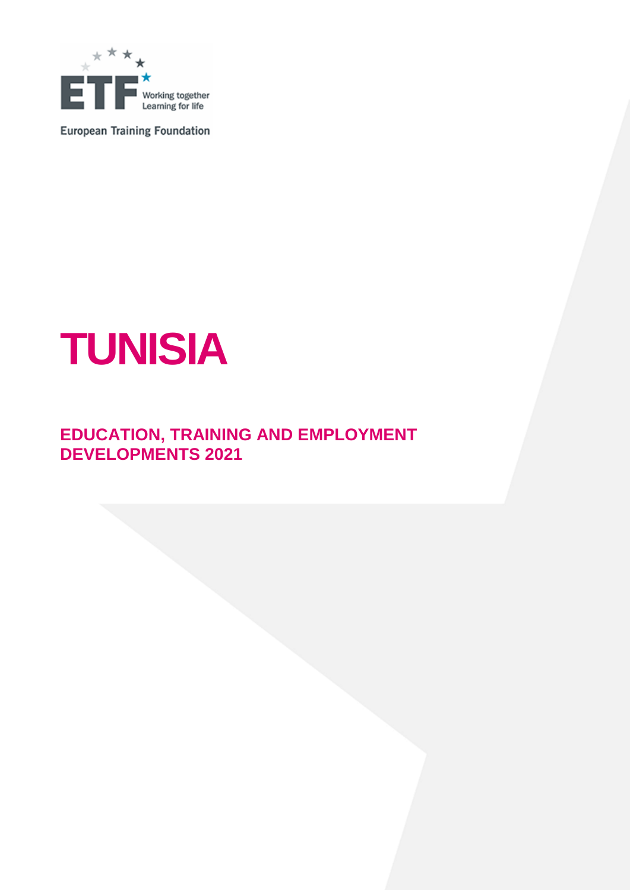

**European Training Foundation** 

# **TUNISIA**

# **EDUCATION, TRAINING AND EMPLOYMENT DEVELOPMENTS 2021**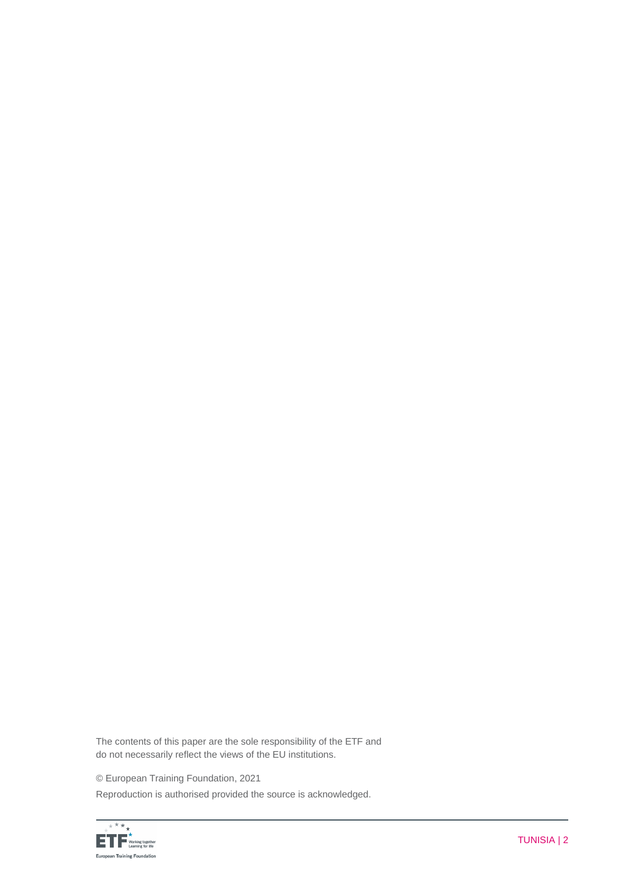The contents of this paper are the sole responsibility of the ETF and do not necessarily reflect the views of the EU institutions.

© European Training Foundation, 2021

Reproduction is authorised provided the source is acknowledged.

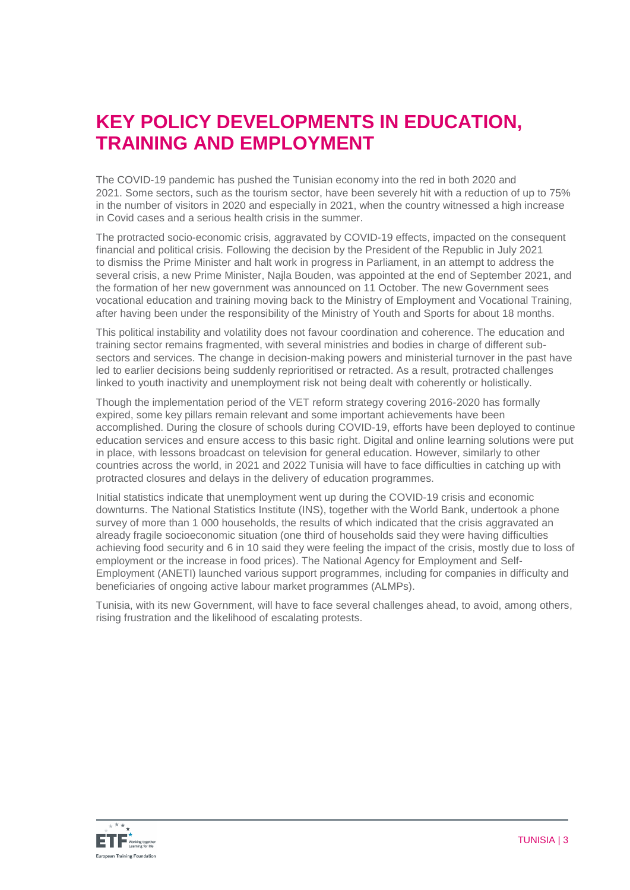# **KEY POLICY DEVELOPMENTS IN EDUCATION, TRAINING AND EMPLOYMENT**

The COVID-19 pandemic has pushed the Tunisian economy into the red in both 2020 and 2021. Some sectors, such as the tourism sector, have been severely hit with a reduction of up to 75% in the number of visitors in 2020 and especially in 2021, when the country witnessed a high increase in Covid cases and a serious health crisis in the summer.

The protracted socio-economic crisis, aggravated by COVID-19 effects, impacted on the consequent financial and political crisis. Following the decision by the President of the Republic in July 2021 to dismiss the Prime Minister and halt work in progress in Parliament, in an attempt to address the several crisis, a new Prime Minister, Najla Bouden, was appointed at the end of September 2021, and the formation of her new government was announced on 11 October. The new Government sees vocational education and training moving back to the Ministry of Employment and Vocational Training, after having been under the responsibility of the Ministry of Youth and Sports for about 18 months.

This political instability and volatility does not favour coordination and coherence. The education and training sector remains fragmented, with several ministries and bodies in charge of different subsectors and services. The change in decision-making powers and ministerial turnover in the past have led to earlier decisions being suddenly reprioritised or retracted. As a result, protracted challenges linked to youth inactivity and unemployment risk not being dealt with coherently or holistically.

Though the implementation period of the VET reform strategy covering 2016-2020 has formally expired, some key pillars remain relevant and some important achievements have been accomplished. During the closure of schools during COVID-19, efforts have been deployed to continue education services and ensure access to this basic right. Digital and online learning solutions were put in place, with lessons broadcast on television for general education. However, similarly to other countries across the world, in 2021 and 2022 Tunisia will have to face difficulties in catching up with protracted closures and delays in the delivery of education programmes.

Initial statistics indicate that unemployment went up during the COVID-19 crisis and economic downturns. The National Statistics Institute (INS), together with the World Bank, undertook a phone survey of more than 1 000 households, the results of which indicated that the crisis aggravated an already fragile socioeconomic situation (one third of households said they were having difficulties achieving food security and 6 in 10 said they were feeling the impact of the crisis, mostly due to loss of employment or the increase in food prices). The National Agency for Employment and Self-Employment (ANETI) launched various support programmes, including for companies in difficulty and beneficiaries of ongoing active labour market programmes (ALMPs).

Tunisia, with its new Government, will have to face several challenges ahead, to avoid, among others, rising frustration and the likelihood of escalating protests.

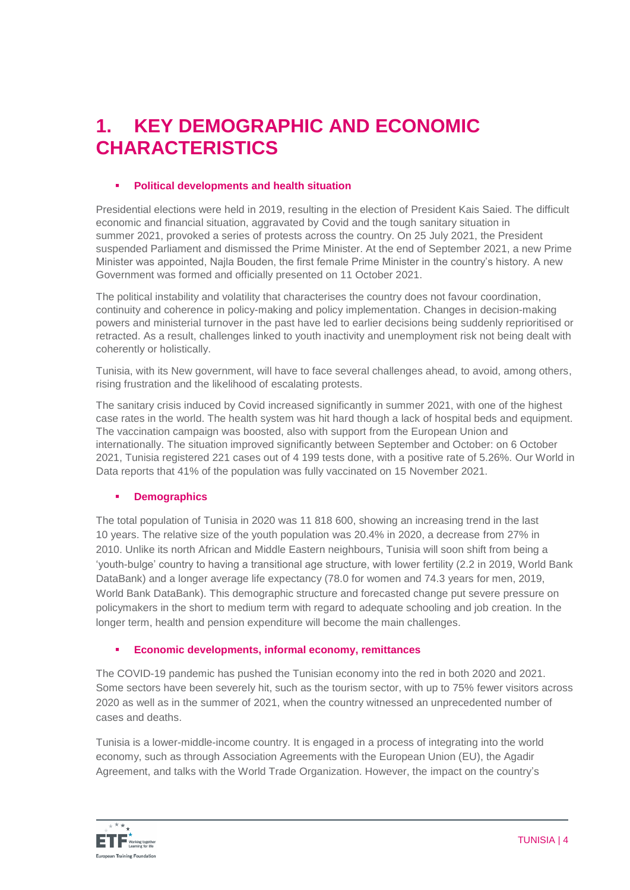# **1. KEY DEMOGRAPHIC AND ECONOMIC CHARACTERISTICS**

## **Political developments and health situation**

Presidential elections were held in 2019, resulting in the election of President Kais Saied. The difficult economic and financial situation, aggravated by Covid and the tough sanitary situation in summer 2021, provoked a series of protests across the country. On 25 July 2021, the President suspended Parliament and dismissed the Prime Minister. At the end of September 2021, a new Prime Minister was appointed, Najla Bouden, the first female Prime Minister in the country's history. A new Government was formed and officially presented on 11 October 2021.

The political instability and volatility that characterises the country does not favour coordination, continuity and coherence in policy-making and policy implementation. Changes in decision-making powers and ministerial turnover in the past have led to earlier decisions being suddenly reprioritised or retracted. As a result, challenges linked to youth inactivity and unemployment risk not being dealt with coherently or holistically.

Tunisia, with its New government, will have to face several challenges ahead, to avoid, among others, rising frustration and the likelihood of escalating protests.

The sanitary crisis induced by Covid increased significantly in summer 2021, with one of the highest case rates in the world. The health system was hit hard though a lack of hospital beds and equipment. The vaccination campaign was boosted, also with support from the European Union and internationally. The situation improved significantly between September and October: on 6 October 2021, Tunisia registered 221 cases out of 4 199 tests done, with a positive rate of 5.26%. Our World in Data reports that 41% of the population was fully vaccinated on 15 November 2021.

# **Demographics**

The total population of Tunisia in 2020 was 11 818 600, showing an increasing trend in the last 10 years. The relative size of the youth population was 20.4% in 2020, a decrease from 27% in 2010. Unlike its north African and Middle Eastern neighbours, Tunisia will soon shift from being a 'youth-bulge' country to having a transitional age structure, with lower fertility (2.2 in 2019, World Bank DataBank) and a longer average life expectancy (78.0 for women and 74.3 years for men, 2019, World Bank DataBank). This demographic structure and forecasted change put severe pressure on policymakers in the short to medium term with regard to adequate schooling and job creation. In the longer term, health and pension expenditure will become the main challenges.

#### **Economic developments, informal economy, remittances**

The COVID-19 pandemic has pushed the Tunisian economy into the red in both 2020 and 2021. Some sectors have been severely hit, such as the tourism sector, with up to 75% fewer visitors across 2020 as well as in the summer of 2021, when the country witnessed an unprecedented number of cases and deaths.

Tunisia is a lower-middle-income country. It is engaged in a process of integrating into the world economy, such as through Association Agreements with the European Union (EU), the Agadir Agreement, and talks with the World Trade Organization. However, the impact on the country's

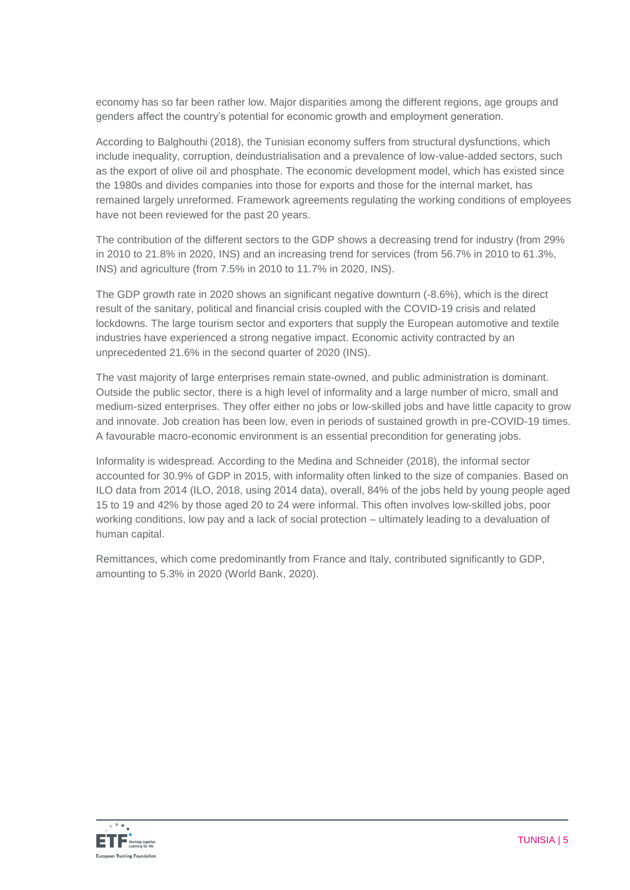economy has so far been rather low. Major disparities among the different regions, age groups and genders affect the country's potential for economic growth and employment generation.

According to Balghouthi (2018), the Tunisian economy suffers from structural dysfunctions, which include inequality, corruption, deindustrialisation and a prevalence of low-value-added sectors, such as the export of olive oil and phosphate. The economic development model, which has existed since the 1980s and divides companies into those for exports and those for the internal market, has remained largely unreformed. Framework agreements regulating the working conditions of employees have not been reviewed for the past 20 years.

The contribution of the different sectors to the GDP shows a decreasing trend for industry (from 29% in 2010 to 21.8% in 2020, INS) and an increasing trend for services (from 56.7% in 2010 to 61.3%, INS) and agriculture (from 7.5% in 2010 to 11.7% in 2020, INS).

The GDP growth rate in 2020 shows an significant negative downturn (-8.6%), which is the direct result of the sanitary, political and financial crisis coupled with the COVID-19 crisis and related lockdowns. The large tourism sector and exporters that supply the European automotive and textile industries have experienced a strong negative impact. Economic activity contracted by an unprecedented 21.6% in the second quarter of 2020 (INS).

The vast majority of large enterprises remain state-owned, and public administration is dominant. Outside the public sector, there is a high level of informality and a large number of micro, small and medium-sized enterprises. They offer either no jobs or low-skilled jobs and have little capacity to grow and innovate. Job creation has been low, even in periods of sustained growth in pre-COVID-19 times. A favourable macro-economic environment is an essential precondition for generating jobs.

Informality is widespread. According to the Medina and Schneider (2018), the informal sector accounted for 30.9% of GDP in 2015, with informality often linked to the size of companies. Based on ILO data from 2014 (ILO, 2018, using 2014 data), overall, 84% of the jobs held by young people aged 15 to 19 and 42% by those aged 20 to 24 were informal. This often involves low-skilled jobs, poor working conditions, low pay and a lack of social protection – ultimately leading to a devaluation of human capital.

Remittances, which come predominantly from France and Italy, contributed significantly to GDP, amounting to 5.3% in 2020 (World Bank, 2020).

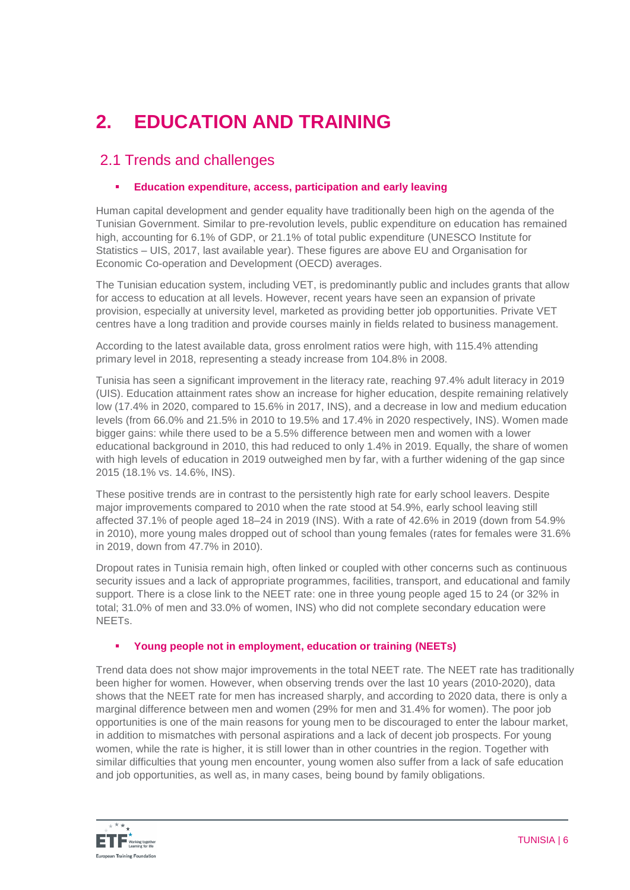# **2. EDUCATION AND TRAINING**

# 2.1 Trends and challenges

# **Education expenditure, access, participation and early leaving**

Human capital development and gender equality have traditionally been high on the agenda of the Tunisian Government. Similar to pre-revolution levels, public expenditure on education has remained high, accounting for 6.1% of GDP, or 21.1% of total public expenditure (UNESCO Institute for Statistics – UIS, 2017, last available year). These figures are above EU and Organisation for Economic Co-operation and Development (OECD) averages.

The Tunisian education system, including VET, is predominantly public and includes grants that allow for access to education at all levels. However, recent years have seen an expansion of private provision, especially at university level, marketed as providing better job opportunities. Private VET centres have a long tradition and provide courses mainly in fields related to business management.

According to the latest available data, gross enrolment ratios were high, with 115.4% attending primary level in 2018, representing a steady increase from 104.8% in 2008.

Tunisia has seen a significant improvement in the literacy rate, reaching 97.4% adult literacy in 2019 (UIS). Education attainment rates show an increase for higher education, despite remaining relatively low (17.4% in 2020, compared to 15.6% in 2017, INS), and a decrease in low and medium education levels (from 66.0% and 21.5% in 2010 to 19.5% and 17.4% in 2020 respectively, INS). Women made bigger gains: while there used to be a 5.5% difference between men and women with a lower educational background in 2010, this had reduced to only 1.4% in 2019. Equally, the share of women with high levels of education in 2019 outweighed men by far, with a further widening of the gap since 2015 (18.1% vs. 14.6%, INS).

These positive trends are in contrast to the persistently high rate for early school leavers. Despite major improvements compared to 2010 when the rate stood at 54.9%, early school leaving still affected 37.1% of people aged 18–24 in 2019 (INS). With a rate of 42.6% in 2019 (down from 54.9% in 2010), more young males dropped out of school than young females (rates for females were 31.6% in 2019, down from 47.7% in 2010).

Dropout rates in Tunisia remain high, often linked or coupled with other concerns such as continuous security issues and a lack of appropriate programmes, facilities, transport, and educational and family support. There is a close link to the NEET rate: one in three young people aged 15 to 24 (or 32% in total; 31.0% of men and 33.0% of women, INS) who did not complete secondary education were **NEETs** 

#### **Young people not in employment, education or training (NEETs)**

Trend data does not show major improvements in the total NEET rate. The NEET rate has traditionally been higher for women. However, when observing trends over the last 10 years (2010-2020), data shows that the NEET rate for men has increased sharply, and according to 2020 data, there is only a marginal difference between men and women (29% for men and 31.4% for women). The poor job opportunities is one of the main reasons for young men to be discouraged to enter the labour market, in addition to mismatches with personal aspirations and a lack of decent job prospects. For young women, while the rate is higher, it is still lower than in other countries in the region. Together with similar difficulties that young men encounter, young women also suffer from a lack of safe education and job opportunities, as well as, in many cases, being bound by family obligations.

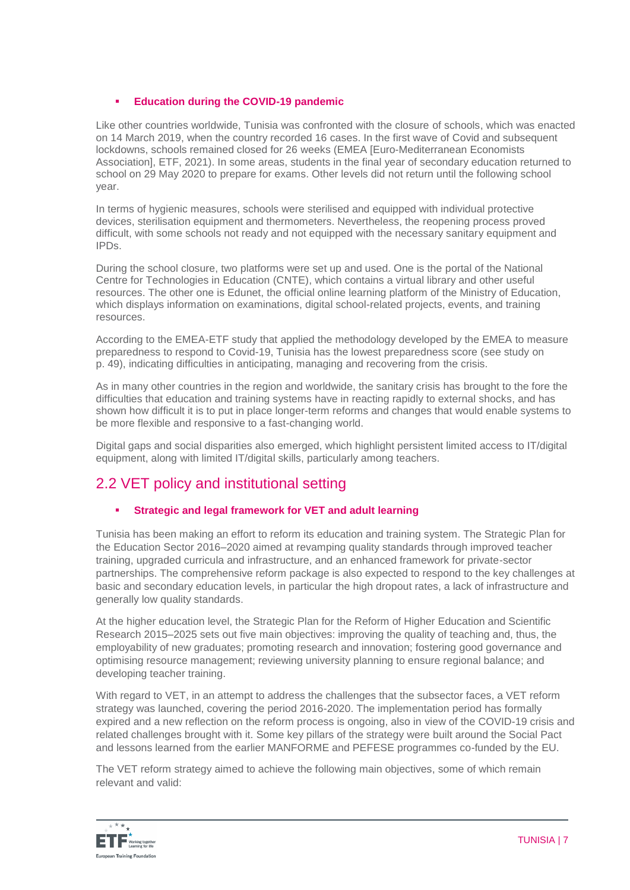# **Education during the COVID-19 pandemic**

Like other countries worldwide, Tunisia was confronted with the closure of schools, which was enacted on 14 March 2019, when the country recorded 16 cases. In the first wave of Covid and subsequent lockdowns, schools remained closed for 26 weeks (EMEA [Euro-Mediterranean Economists Association], ETF, 2021). In some areas, students in the final year of secondary education returned to school on 29 May 2020 to prepare for exams. Other levels did not return until the following school year.

In terms of hygienic measures, schools were sterilised and equipped with individual protective devices, sterilisation equipment and thermometers. Nevertheless, the reopening process proved difficult, with some schools not ready and not equipped with the necessary sanitary equipment and IPDs.

During the school closure, two platforms were set up and used. One is the portal of the National Centre for Technologies in Education (CNTE), which contains a virtual library and other useful resources. The other one is Edunet, the official online learning platform of the Ministry of Education, which displays information on examinations, digital school-related projects, events, and training resources.

According to the EMEA-ETF study that applied the methodology developed by the EMEA to measure preparedness to respond to Covid-19, Tunisia has the lowest preparedness score (see study on p. 49), indicating difficulties in anticipating, managing and recovering from the crisis.

As in many other countries in the region and worldwide, the sanitary crisis has brought to the fore the difficulties that education and training systems have in reacting rapidly to external shocks, and has shown how difficult it is to put in place longer-term reforms and changes that would enable systems to be more flexible and responsive to a fast-changing world.

Digital gaps and social disparities also emerged, which highlight persistent limited access to IT/digital equipment, along with limited IT/digital skills, particularly among teachers.

# 2.2 VET policy and institutional setting

# **Strategic and legal framework for VET and adult learning**

Tunisia has been making an effort to reform its education and training system. The Strategic Plan for the Education Sector 2016–2020 aimed at revamping quality standards through improved teacher training, upgraded curricula and infrastructure, and an enhanced framework for private-sector partnerships. The comprehensive reform package is also expected to respond to the key challenges at basic and secondary education levels, in particular the high dropout rates, a lack of infrastructure and generally low quality standards.

At the higher education level, the Strategic Plan for the Reform of Higher Education and Scientific Research 2015–2025 sets out five main objectives: improving the quality of teaching and, thus, the employability of new graduates; promoting research and innovation; fostering good governance and optimising resource management; reviewing university planning to ensure regional balance; and developing teacher training.

With regard to VET, in an attempt to address the challenges that the subsector faces, a VET reform strategy was launched, covering the period 2016-2020. The implementation period has formally expired and a new reflection on the reform process is ongoing, also in view of the COVID-19 crisis and related challenges brought with it. Some key pillars of the strategy were built around the Social Pact and lessons learned from the earlier MANFORME and PEFESE programmes co-funded by the EU.

The VET reform strategy aimed to achieve the following main objectives, some of which remain relevant and valid:

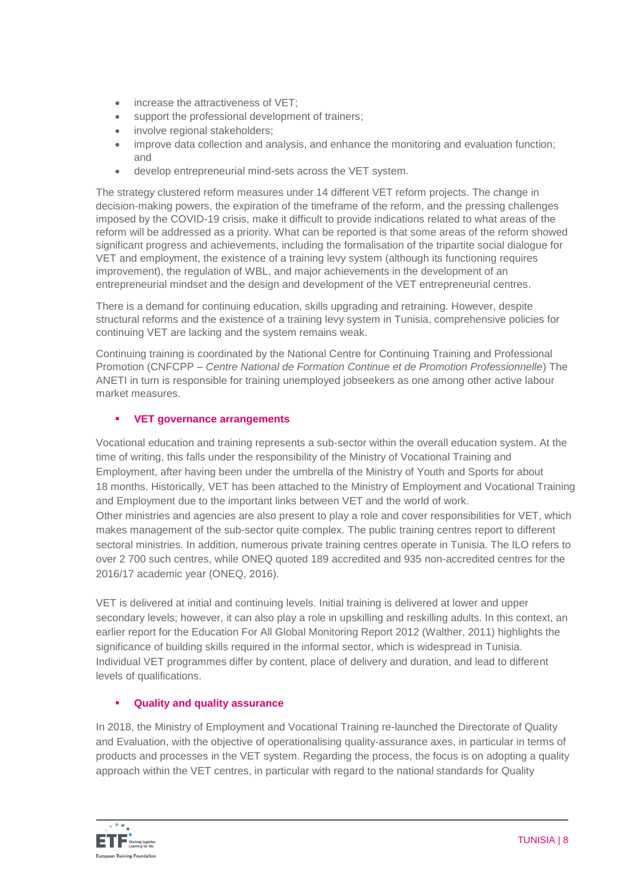- increase the attractiveness of VET:
- support the professional development of trainers;
- involve regional stakeholders;
- improve data collection and analysis, and enhance the monitoring and evaluation function; and
- develop entrepreneurial mind-sets across the VET system.

The strategy clustered reform measures under 14 different VET reform projects. The change in decision-making powers, the expiration of the timeframe of the reform, and the pressing challenges imposed by the COVID-19 crisis, make it difficult to provide indications related to what areas of the reform will be addressed as a priority. What can be reported is that some areas of the reform showed significant progress and achievements, including the formalisation of the tripartite social dialogue for VET and employment, the existence of a training levy system (although its functioning requires improvement), the regulation of WBL, and major achievements in the development of an entrepreneurial mindset and the design and development of the VET entrepreneurial centres.

There is a demand for continuing education, skills upgrading and retraining. However, despite structural reforms and the existence of a training levy system in Tunisia, comprehensive policies for continuing VET are lacking and the system remains weak.

Continuing training is coordinated by the National Centre for Continuing Training and Professional Promotion (CNFCPP – *Centre National de Formation Continue et de Promotion Professionnelle*) The ANETI in turn is responsible for training unemployed jobseekers as one among other active labour market measures.

# **VET governance arrangements**

Vocational education and training represents a sub-sector within the overall education system. At the time of writing, this falls under the responsibility of the Ministry of Vocational Training and Employment, after having been under the umbrella of the Ministry of Youth and Sports for about 18 months. Historically, VET has been attached to the Ministry of Employment and Vocational Training and Employment due to the important links between VET and the world of work. Other ministries and agencies are also present to play a role and cover responsibilities for VET, which makes management of the sub-sector quite complex. The public training centres report to different sectoral ministries. In addition, numerous private training centres operate in Tunisia. The ILO refers to over 2 700 such centres, while ONEQ quoted 189 accredited and 935 non-accredited centres for the 2016/17 academic year (ONEQ, 2016).

VET is delivered at initial and continuing levels. Initial training is delivered at lower and upper secondary levels; however, it can also play a role in upskilling and reskilling adults. In this context, an earlier report for the Education For All Global Monitoring Report 2012 (Walther, 2011) highlights the significance of building skills required in the informal sector, which is widespread in Tunisia. Individual VET programmes differ by content, place of delivery and duration, and lead to different levels of qualifications.

# **Quality and quality assurance**

In 2018, the Ministry of Employment and Vocational Training re-launched the Directorate of Quality and Evaluation, with the objective of operationalising quality-assurance axes, in particular in terms of products and processes in the VET system. Regarding the process, the focus is on adopting a quality approach within the VET centres, in particular with regard to the national standards for Quality

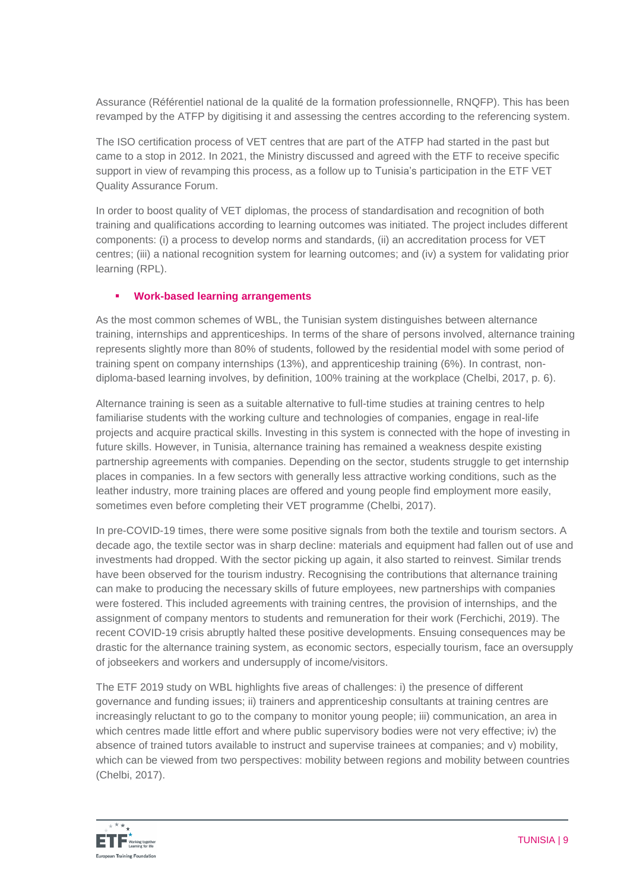Assurance (Référentiel national de la qualité de la formation professionnelle, RNQFP). This has been revamped by the ATFP by digitising it and assessing the centres according to the referencing system.

The ISO certification process of VET centres that are part of the ATFP had started in the past but came to a stop in 2012. In 2021, the Ministry discussed and agreed with the ETF to receive specific support in view of revamping this process, as a follow up to Tunisia's participation in the ETF VET Quality Assurance Forum.

In order to boost quality of VET diplomas, the process of standardisation and recognition of both training and qualifications according to learning outcomes was initiated. The project includes different components: (i) a process to develop norms and standards, (ii) an accreditation process for VET centres; (iii) a national recognition system for learning outcomes; and (iv) a system for validating prior learning (RPL).

# **Work-based learning arrangements**

As the most common schemes of WBL, the Tunisian system distinguishes between alternance training, internships and apprenticeships. In terms of the share of persons involved, alternance training represents slightly more than 80% of students, followed by the residential model with some period of training spent on company internships (13%), and apprenticeship training (6%). In contrast, nondiploma-based learning involves, by definition, 100% training at the workplace (Chelbi, 2017, p. 6).

Alternance training is seen as a suitable alternative to full-time studies at training centres to help familiarise students with the working culture and technologies of companies, engage in real-life projects and acquire practical skills. Investing in this system is connected with the hope of investing in future skills. However, in Tunisia, alternance training has remained a weakness despite existing partnership agreements with companies. Depending on the sector, students struggle to get internship places in companies. In a few sectors with generally less attractive working conditions, such as the leather industry, more training places are offered and young people find employment more easily, sometimes even before completing their VET programme (Chelbi, 2017).

In pre-COVID-19 times, there were some positive signals from both the textile and tourism sectors. A decade ago, the textile sector was in sharp decline: materials and equipment had fallen out of use and investments had dropped. With the sector picking up again, it also started to reinvest. Similar trends have been observed for the tourism industry. Recognising the contributions that alternance training can make to producing the necessary skills of future employees, new partnerships with companies were fostered. This included agreements with training centres, the provision of internships, and the assignment of company mentors to students and remuneration for their work (Ferchichi, 2019). The recent COVID-19 crisis abruptly halted these positive developments. Ensuing consequences may be drastic for the alternance training system, as economic sectors, especially tourism, face an oversupply of jobseekers and workers and undersupply of income/visitors.

The ETF 2019 study on WBL highlights five areas of challenges: i) the presence of different governance and funding issues; ii) trainers and apprenticeship consultants at training centres are increasingly reluctant to go to the company to monitor young people; iii) communication, an area in which centres made little effort and where public supervisory bodies were not very effective; iv) the absence of trained tutors available to instruct and supervise trainees at companies; and v) mobility, which can be viewed from two perspectives: mobility between regions and mobility between countries (Chelbi, 2017).

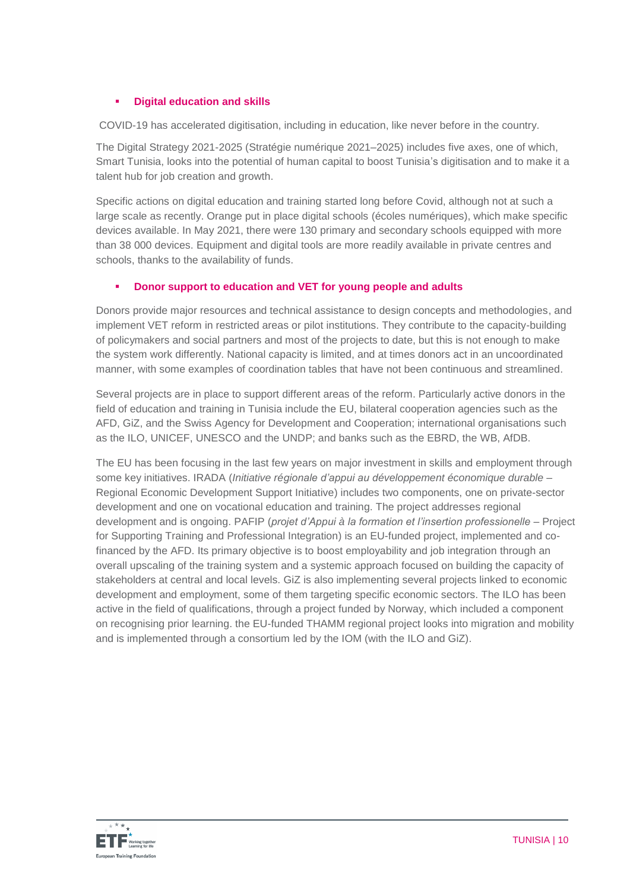# **Digital education and skills**

COVID-19 has accelerated digitisation, including in education, like never before in the country.

The Digital Strategy 2021-2025 (Stratégie numérique 2021–2025) includes five axes, one of which, Smart Tunisia, looks into the potential of human capital to boost Tunisia's digitisation and to make it a talent hub for job creation and growth.

Specific actions on digital education and training started long before Covid, although not at such a large scale as recently. Orange put in place digital schools (écoles numériques), which make specific devices available. In May 2021, there were 130 primary and secondary schools equipped with more than 38 000 devices. Equipment and digital tools are more readily available in private centres and schools, thanks to the availability of funds.

# **Donor support to education and VET for young people and adults**

Donors provide major resources and technical assistance to design concepts and methodologies, and implement VET reform in restricted areas or pilot institutions. They contribute to the capacity-building of policymakers and social partners and most of the projects to date, but this is not enough to make the system work differently. National capacity is limited, and at times donors act in an uncoordinated manner, with some examples of coordination tables that have not been continuous and streamlined.

Several projects are in place to support different areas of the reform. Particularly active donors in the field of education and training in Tunisia include the EU, bilateral cooperation agencies such as the AFD, GiZ, and the Swiss Agency for Development and Cooperation; international organisations such as the ILO, UNICEF, UNESCO and the UNDP; and banks such as the EBRD, the WB, AfDB.

The EU has been focusing in the last few years on major investment in skills and employment through some key initiatives. IRADA (*Initiative régionale d'appui au développement économique durable* – Regional Economic Development Support Initiative) includes two components, one on private-sector development and one on vocational education and training. The project addresses regional development and is ongoing. PAFIP (*projet d'Appui à la formation et l'insertion professionelle* – Project for Supporting Training and Professional Integration) is an EU-funded project, implemented and cofinanced by the AFD. Its primary objective is to boost employability and job integration through an overall upscaling of the training system and a systemic approach focused on building the capacity of stakeholders at central and local levels. GiZ is also implementing several projects linked to economic development and employment, some of them targeting specific economic sectors. The ILO has been active in the field of qualifications, through a project funded by Norway, which included a component on recognising prior learning. the EU-funded THAMM regional project looks into migration and mobility and is implemented through a consortium led by the IOM (with the ILO and GiZ).

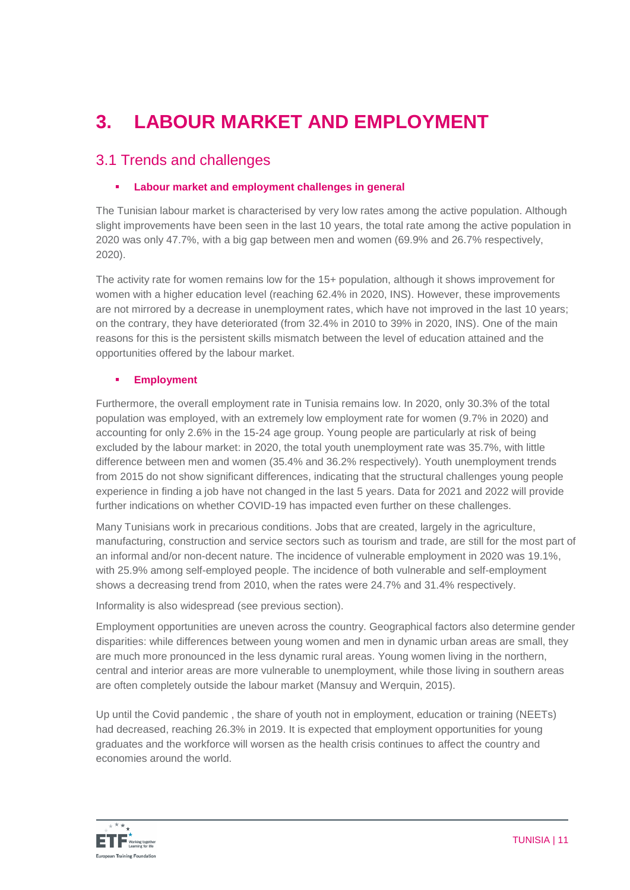# **3. LABOUR MARKET AND EMPLOYMENT**

# 3.1 Trends and challenges

## **Labour market and employment challenges in general**

The Tunisian labour market is characterised by very low rates among the active population. Although slight improvements have been seen in the last 10 years, the total rate among the active population in 2020 was only 47.7%, with a big gap between men and women (69.9% and 26.7% respectively, 2020).

The activity rate for women remains low for the 15+ population, although it shows improvement for women with a higher education level (reaching 62.4% in 2020, INS). However, these improvements are not mirrored by a decrease in unemployment rates, which have not improved in the last 10 years; on the contrary, they have deteriorated (from 32.4% in 2010 to 39% in 2020, INS). One of the main reasons for this is the persistent skills mismatch between the level of education attained and the opportunities offered by the labour market.

### **Employment**

Furthermore, the overall employment rate in Tunisia remains low. In 2020, only 30.3% of the total population was employed, with an extremely low employment rate for women (9.7% in 2020) and accounting for only 2.6% in the 15-24 age group. Young people are particularly at risk of being excluded by the labour market: in 2020, the total youth unemployment rate was 35.7%, with little difference between men and women (35.4% and 36.2% respectively). Youth unemployment trends from 2015 do not show significant differences, indicating that the structural challenges young people experience in finding a job have not changed in the last 5 years. Data for 2021 and 2022 will provide further indications on whether COVID-19 has impacted even further on these challenges.

Many Tunisians work in precarious conditions. Jobs that are created, largely in the agriculture, manufacturing, construction and service sectors such as tourism and trade, are still for the most part of an informal and/or non-decent nature. The incidence of vulnerable employment in 2020 was 19.1%, with 25.9% among self-employed people. The incidence of both vulnerable and self-employment shows a decreasing trend from 2010, when the rates were 24.7% and 31.4% respectively.

Informality is also widespread (see previous section).

Employment opportunities are uneven across the country. Geographical factors also determine gender disparities: while differences between young women and men in dynamic urban areas are small, they are much more pronounced in the less dynamic rural areas. Young women living in the northern, central and interior areas are more vulnerable to unemployment, while those living in southern areas are often completely outside the labour market (Mansuy and Werquin, 2015).

Up until the Covid pandemic , the share of youth not in employment, education or training (NEETs) had decreased, reaching 26.3% in 2019. It is expected that employment opportunities for young graduates and the workforce will worsen as the health crisis continues to affect the country and economies around the world.

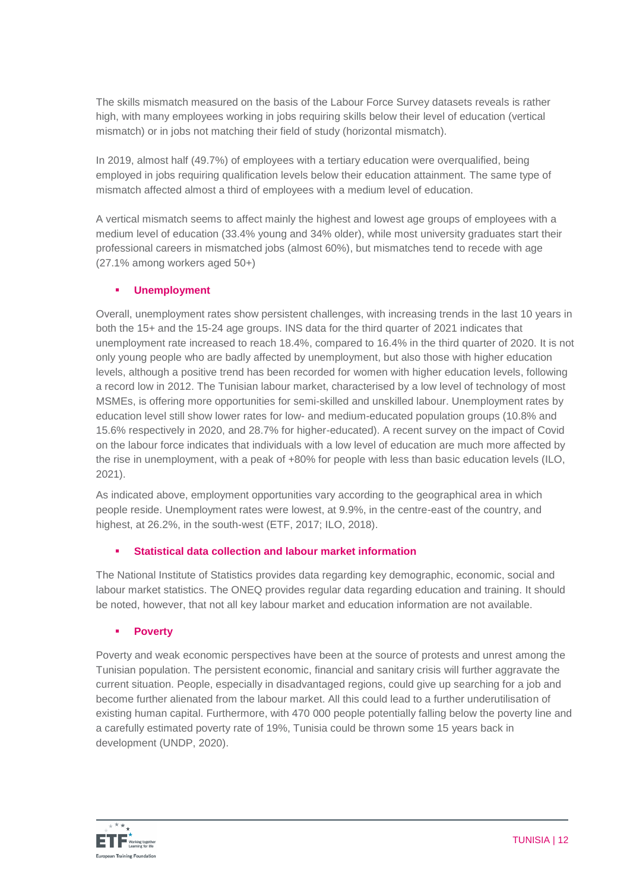The skills mismatch measured on the basis of the Labour Force Survey datasets reveals is rather high, with many employees working in jobs requiring skills below their level of education (vertical mismatch) or in jobs not matching their field of study (horizontal mismatch).

In 2019, almost half (49.7%) of employees with a tertiary education were overqualified, being employed in jobs requiring qualification levels below their education attainment. The same type of mismatch affected almost a third of employees with a medium level of education.

A vertical mismatch seems to affect mainly the highest and lowest age groups of employees with a medium level of education (33.4% young and 34% older), while most university graduates start their professional careers in mismatched jobs (almost 60%), but mismatches tend to recede with age (27.1% among workers aged 50+)

# **Unemployment**

Overall, unemployment rates show persistent challenges, with increasing trends in the last 10 years in both the 15+ and the 15-24 age groups. INS data for the third quarter of 2021 indicates that unemployment rate increased to reach 18.4%, compared to 16.4% in the third quarter of 2020. It is not only young people who are badly affected by unemployment, but also those with higher education levels, although a positive trend has been recorded for women with higher education levels, following a record low in 2012. The Tunisian labour market, characterised by a low level of technology of most MSMEs, is offering more opportunities for semi-skilled and unskilled labour. Unemployment rates by education level still show lower rates for low- and medium-educated population groups (10.8% and 15.6% respectively in 2020, and 28.7% for higher-educated). A recent survey on the impact of Covid on the labour force indicates that individuals with a low level of education are much more affected by the rise in unemployment, with a peak of +80% for people with less than basic education levels (ILO, 2021).

As indicated above, employment opportunities vary according to the geographical area in which people reside. Unemployment rates were lowest, at 9.9%, in the centre-east of the country, and highest, at 26.2%, in the south-west (ETF, 2017; ILO, 2018).

# **Statistical data collection and labour market information**

The National Institute of Statistics provides data regarding key demographic, economic, social and labour market statistics. The ONEQ provides regular data regarding education and training. It should be noted, however, that not all key labour market and education information are not available.

# **Poverty**

Poverty and weak economic perspectives have been at the source of protests and unrest among the Tunisian population. The persistent economic, financial and sanitary crisis will further aggravate the current situation. People, especially in disadvantaged regions, could give up searching for a job and become further alienated from the labour market. All this could lead to a further underutilisation of existing human capital. Furthermore, with 470 000 people potentially falling below the poverty line and a carefully estimated poverty rate of 19%, Tunisia could be thrown some 15 years back in development (UNDP, 2020).

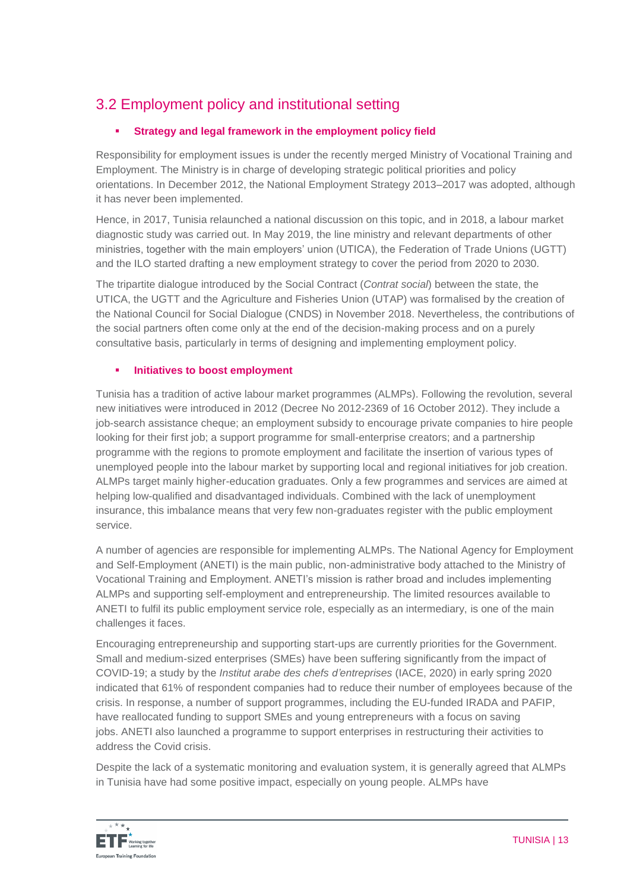# 3.2 Employment policy and institutional setting

# **Strategy and legal framework in the employment policy field**

Responsibility for employment issues is under the recently merged Ministry of Vocational Training and Employment. The Ministry is in charge of developing strategic political priorities and policy orientations. In December 2012, the National Employment Strategy 2013–2017 was adopted, although it has never been implemented.

Hence, in 2017, Tunisia relaunched a national discussion on this topic, and in 2018, a labour market diagnostic study was carried out. In May 2019, the line ministry and relevant departments of other ministries, together with the main employers' union (UTICA), the Federation of Trade Unions (UGTT) and the ILO started drafting a new employment strategy to cover the period from 2020 to 2030.

The tripartite dialogue introduced by the Social Contract (*Contrat social*) between the state, the UTICA, the UGTT and the Agriculture and Fisheries Union (UTAP) was formalised by the creation of the National Council for Social Dialogue (CNDS) in November 2018. Nevertheless, the contributions of the social partners often come only at the end of the decision-making process and on a purely consultative basis, particularly in terms of designing and implementing employment policy.

# **Initiatives to boost employment**

Tunisia has a tradition of active labour market programmes (ALMPs). Following the revolution, several new initiatives were introduced in 2012 (Decree No 2012-2369 of 16 October 2012). They include a job-search assistance cheque; an employment subsidy to encourage private companies to hire people looking for their first job; a support programme for small-enterprise creators; and a partnership programme with the regions to promote employment and facilitate the insertion of various types of unemployed people into the labour market by supporting local and regional initiatives for job creation. ALMPs target mainly higher-education graduates. Only a few programmes and services are aimed at helping low-qualified and disadvantaged individuals. Combined with the lack of unemployment insurance, this imbalance means that very few non-graduates register with the public employment service.

A number of agencies are responsible for implementing ALMPs. The National Agency for Employment and Self-Employment (ANETI) is the main public, non-administrative body attached to the Ministry of Vocational Training and Employment. ANETI's mission is rather broad and includes implementing ALMPs and supporting self-employment and entrepreneurship. The limited resources available to ANETI to fulfil its public employment service role, especially as an intermediary, is one of the main challenges it faces.

Encouraging entrepreneurship and supporting start-ups are currently priorities for the Government. Small and medium-sized enterprises (SMEs) have been suffering significantly from the impact of COVID-19; a study by the *Institut arabe des chefs d'entreprises* (IACE, 2020) in early spring 2020 indicated that 61% of respondent companies had to reduce their number of employees because of the crisis. In response, a number of support programmes, including the EU-funded IRADA and PAFIP, have reallocated funding to support SMEs and young entrepreneurs with a focus on saving jobs. ANETI also launched a programme to support enterprises in restructuring their activities to address the Covid crisis.

Despite the lack of a systematic monitoring and evaluation system, it is generally agreed that ALMPs in Tunisia have had some positive impact, especially on young people. ALMPs have

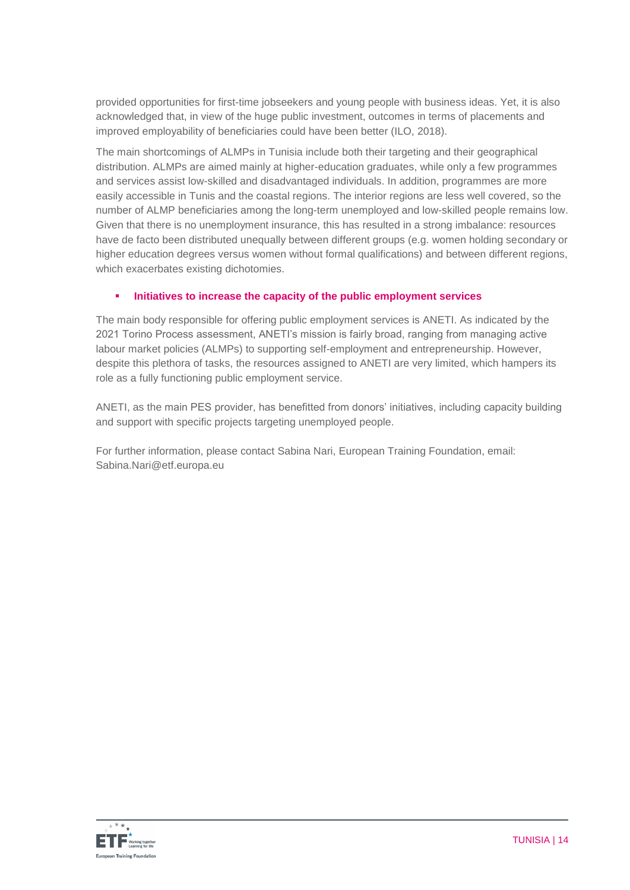provided opportunities for first-time jobseekers and young people with business ideas. Yet, it is also acknowledged that, in view of the huge public investment, outcomes in terms of placements and improved employability of beneficiaries could have been better (ILO, 2018).

The main shortcomings of ALMPs in Tunisia include both their targeting and their geographical distribution. ALMPs are aimed mainly at higher-education graduates, while only a few programmes and services assist low-skilled and disadvantaged individuals. In addition, programmes are more easily accessible in Tunis and the coastal regions. The interior regions are less well covered, so the number of ALMP beneficiaries among the long-term unemployed and low-skilled people remains low. Given that there is no unemployment insurance, this has resulted in a strong imbalance: resources have de facto been distributed unequally between different groups (e.g. women holding secondary or higher education degrees versus women without formal qualifications) and between different regions, which exacerbates existing dichotomies.

# **Initiatives to increase the capacity of the public employment services**

The main body responsible for offering public employment services is ANETI. As indicated by the 2021 Torino Process assessment, ANETI's mission is fairly broad, ranging from managing active labour market policies (ALMPs) to supporting self-employment and entrepreneurship. However, despite this plethora of tasks, the resources assigned to ANETI are very limited, which hampers its role as a fully functioning public employment service.

ANETI, as the main PES provider, has benefitted from donors' initiatives, including capacity building and support with specific projects targeting unemployed people.

For further information, please contact Sabina Nari, European Training Foundation, email: Sabina.Nari@etf.europa.eu

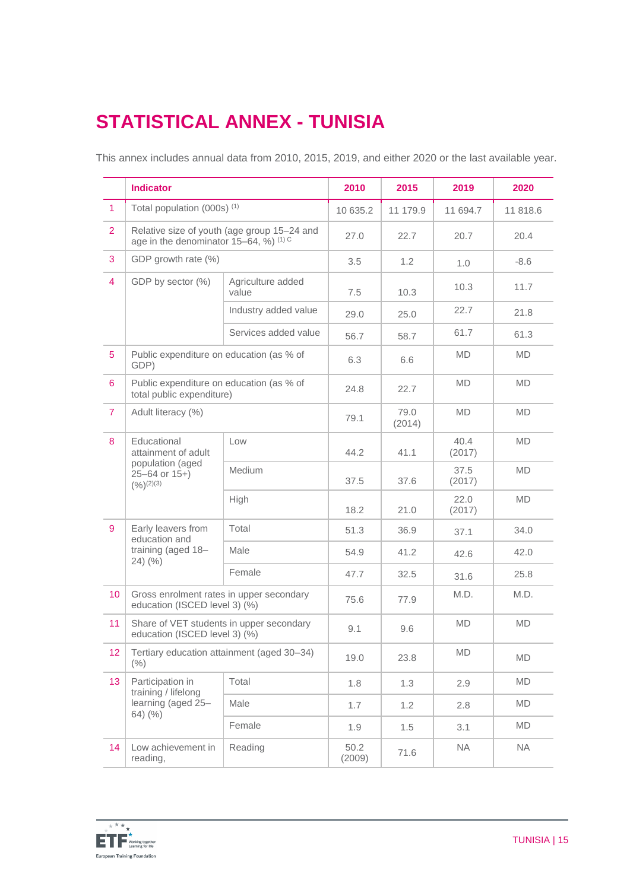# **STATISTICAL ANNEX - TUNISIA**

This annex includes annual data from 2010, 2015, 2019, and either 2020 or the last available year.

|                | <b>Indicator</b>                                                                                    |                            | 2010           | 2015           | 2019           | 2020      |
|----------------|-----------------------------------------------------------------------------------------------------|----------------------------|----------------|----------------|----------------|-----------|
| $\overline{1}$ | Total population (000s) <sup>(1)</sup>                                                              |                            | 10 635.2       | 11 179.9       | 11 694.7       | 11 818.6  |
| $\overline{2}$ | Relative size of youth (age group 15-24 and<br>age in the denominator $15-64$ , %) <sup>(1) C</sup> |                            | 27.0           | 22.7           | 20.7           | 20.4      |
| 3              | GDP growth rate (%)                                                                                 |                            | 3.5            | 1.2            | 1.0            | $-8.6$    |
| $\overline{4}$ | GDP by sector (%)                                                                                   | Agriculture added<br>value | 7.5            | 10.3           | 10.3           | 11.7      |
|                |                                                                                                     | Industry added value       | 29.0           | 25.0           | 22.7           | 21.8      |
|                |                                                                                                     | Services added value       | 56.7           | 58.7           | 61.7           | 61.3      |
| $\overline{5}$ | Public expenditure on education (as % of<br>GDP)                                                    |                            | 6.3            | 6.6            | MD.            | <b>MD</b> |
| 6              | Public expenditure on education (as % of<br>total public expenditure)                               |                            | 24.8           | 22.7           | <b>MD</b>      | <b>MD</b> |
| $\overline{7}$ | Adult literacy (%)                                                                                  |                            | 79.1           | 79.0<br>(2014) | <b>MD</b>      | <b>MD</b> |
| 8              | Educational<br>attainment of adult                                                                  | Low                        | 44.2           | 41.1           | 40.4<br>(2017) | <b>MD</b> |
|                | population (aged<br>$25 - 64$ or $15+$ )<br>$(9/6)^{(2)(3)}$                                        | Medium                     | 37.5           | 37.6           | 37.5<br>(2017) | <b>MD</b> |
|                |                                                                                                     | High                       | 18.2           | 21.0           | 22.0<br>(2017) | <b>MD</b> |
| 9              | Early leavers from<br>education and                                                                 | Total                      | 51.3           | 36.9           | 37.1           | 34.0      |
|                | training (aged 18-<br>$24)$ (%)                                                                     | Male                       | 54.9           | 41.2           | 42.6           | 42.0      |
|                |                                                                                                     | Female                     | 47.7           | 32.5           | 31.6           | 25.8      |
| 10             | Gross enrolment rates in upper secondary<br>education (ISCED level 3) (%)                           |                            | 75.6           | 77.9           | M.D.           | M.D.      |
| 11             | Share of VET students in upper secondary<br>education (ISCED level 3) (%)                           |                            | 9.1            | 9.6            | <b>MD</b>      | <b>MD</b> |
| 12             | Tertiary education attainment (aged 30-34)<br>(% )                                                  |                            | 19.0           | 23.8           | MD             | MD        |
| 13             | Participation in<br>training / lifelong                                                             | Total                      | 1.8            | 1.3            | 2.9            | MD        |
|                | learning (aged 25-                                                                                  | Male                       | 1.7            | 1.2            | 2.8            | <b>MD</b> |
|                | 64) (%)                                                                                             | Female                     | 1.9            | 1.5            | 3.1            | MD        |
| 14             | Low achievement in<br>reading,                                                                      | Reading                    | 50.2<br>(2009) | 71.6           | <b>NA</b>      | <b>NA</b> |

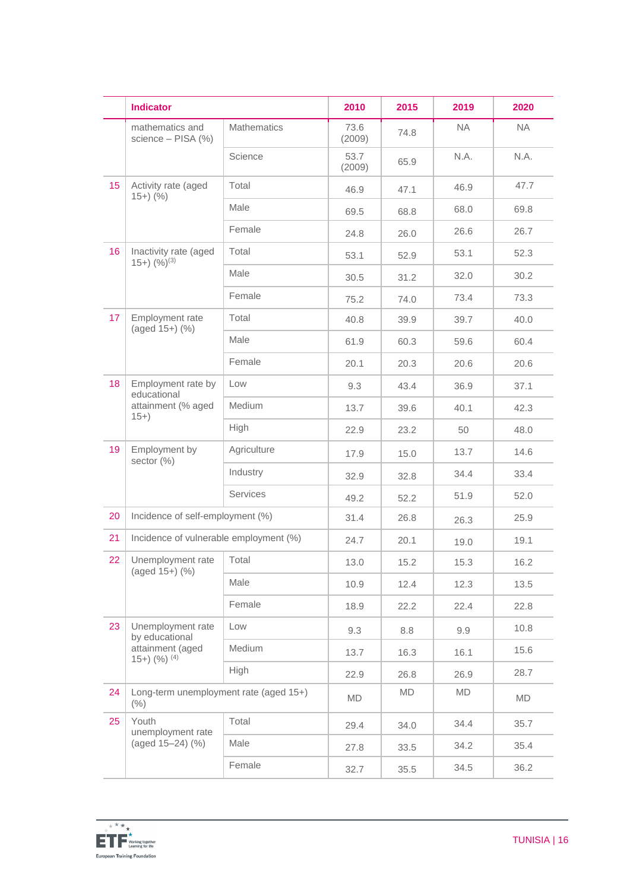|    | <b>Indicator</b>                                                               |                    | 2010           | 2015 | 2019      | 2020      |
|----|--------------------------------------------------------------------------------|--------------------|----------------|------|-----------|-----------|
|    | mathematics and<br>science - PISA (%)                                          | <b>Mathematics</b> | 73.6<br>(2009) | 74.8 | <b>NA</b> | <b>NA</b> |
|    |                                                                                | Science            | 53.7<br>(2009) | 65.9 | N.A.      | N.A.      |
| 15 | Activity rate (aged<br>$15+)$ (%)                                              | Total              | 46.9           | 47.1 | 46.9      | 47.7      |
|    |                                                                                | Male               | 69.5           | 68.8 | 68.0      | 69.8      |
|    |                                                                                | Female             | 24.8           | 26.0 | 26.6      | 26.7      |
| 16 | Inactivity rate (aged<br>$(15+)$ $(%)^{(3)}$                                   | Total              | 53.1           | 52.9 | 53.1      | 52.3      |
|    |                                                                                | Male               | 30.5           | 31.2 | 32.0      | 30.2      |
|    |                                                                                | Female             | 75.2           | 74.0 | 73.4      | 73.3      |
| 17 | Employment rate<br>(aged 15+) (%)                                              | Total              | 40.8           | 39.9 | 39.7      | 40.0      |
|    |                                                                                | Male               | 61.9           | 60.3 | 59.6      | 60.4      |
|    |                                                                                | Female             | 20.1           | 20.3 | 20.6      | 20.6      |
| 18 | Employment rate by<br>educational<br>attainment (% aged<br>$15+$               | Low                | 9.3            | 43.4 | 36.9      | 37.1      |
|    |                                                                                | Medium             | 13.7           | 39.6 | 40.1      | 42.3      |
|    |                                                                                | High               | 22.9           | 23.2 | 50        | 48.0      |
| 19 | Employment by<br>sector $(\%)$                                                 | Agriculture        | 17.9           | 15.0 | 13.7      | 14.6      |
|    |                                                                                | Industry           | 32.9           | 32.8 | 34.4      | 33.4      |
|    |                                                                                | Services           | 49.2           | 52.2 | 51.9      | 52.0      |
| 20 | Incidence of self-employment (%)                                               |                    | 31.4           | 26.8 | 26.3      | 25.9      |
| 21 | Incidence of vulnerable employment (%)                                         |                    | 24.7           | 20.1 | 19.0      | 19.1      |
| 22 | Unemployment rate<br>$(aged 15+)$ $(\%)$                                       | Total              | 13.0           | 15.2 | 15.3      | 16.2      |
|    |                                                                                | Male               | 10.9           | 12.4 | 12.3      | 13.5      |
|    |                                                                                | Female             | 18.9           | 22.2 | 22.4      | 22.8      |
| 23 | Unemployment rate<br>by educational<br>attainment (aged<br>$(15+)$ $(%)^{(4)}$ | Low                | 9.3            | 8.8  | 9.9       | 10.8      |
|    |                                                                                | Medium             | 13.7           | 16.3 | 16.1      | 15.6      |
|    |                                                                                | High               | 22.9           | 26.8 | 26.9      | 28.7      |
| 24 | Long-term unemployment rate (aged 15+)<br>(% )                                 |                    | MD             | MD   | MD        | <b>MD</b> |
| 25 | Youth<br>unemployment rate<br>(aged 15-24) (%)                                 | Total              | 29.4           | 34.0 | 34.4      | 35.7      |
|    |                                                                                | Male               | 27.8           | 33.5 | 34.2      | 35.4      |
|    |                                                                                | Female             | 32.7           | 35.5 | 34.5      | 36.2      |

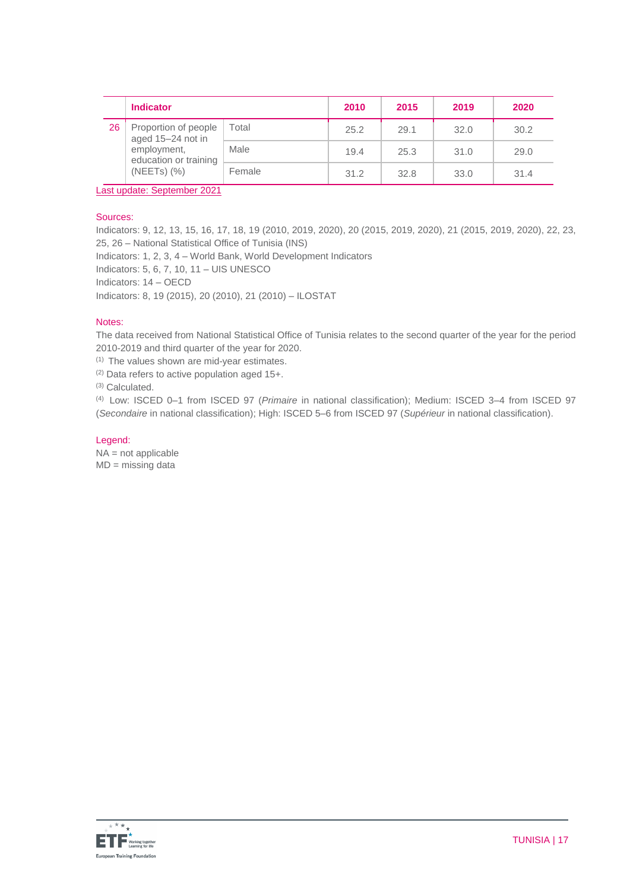|    | <b>Indicator</b>                                                                                      |        | 2010 | 2015 | 2019 | 2020 |
|----|-------------------------------------------------------------------------------------------------------|--------|------|------|------|------|
| 26 | Proportion of people<br>aged 15-24 not in<br>employment,<br>education or training<br>$(NEETS)$ $(\%)$ | Total  | 25.2 | 29.1 | 32.0 | 30.2 |
|    |                                                                                                       | Male   | 19.4 | 25.3 | 31.0 | 29.0 |
|    |                                                                                                       | Female | 31.2 | 32.8 | 33.0 | 31.4 |

Last update: September 2021

#### Sources:

Indicators: 9, 12, 13, 15, 16, 17, 18, 19 (2010, 2019, 2020), 20 (2015, 2019, 2020), 21 (2015, 2019, 2020), 22, 23, 25, 26 – National Statistical Office of Tunisia (INS)

Indicators: 1, 2, 3, 4 – World Bank, World Development Indicators

Indicators: 5, 6, 7, 10, 11 – UIS UNESCO

Indicators: 14 – OECD

Indicators: 8, 19 (2015), 20 (2010), 21 (2010) – ILOSTAT

#### Notes:

The data received from National Statistical Office of Tunisia relates to the second quarter of the year for the period 2010-2019 and third quarter of the year for 2020.

(1) The values shown are mid-year estimates.

(2) Data refers to active population aged 15+.

(3) Calculated.

(4) Low: ISCED 0–1 from ISCED 97 (*Primaire* in national classification); Medium: ISCED 3–4 from ISCED 97 (*Secondaire* in national classification); High: ISCED 5–6 from ISCED 97 (*Supérieur* in national classification).

#### Legend:

NA = not applicable MD = missing data

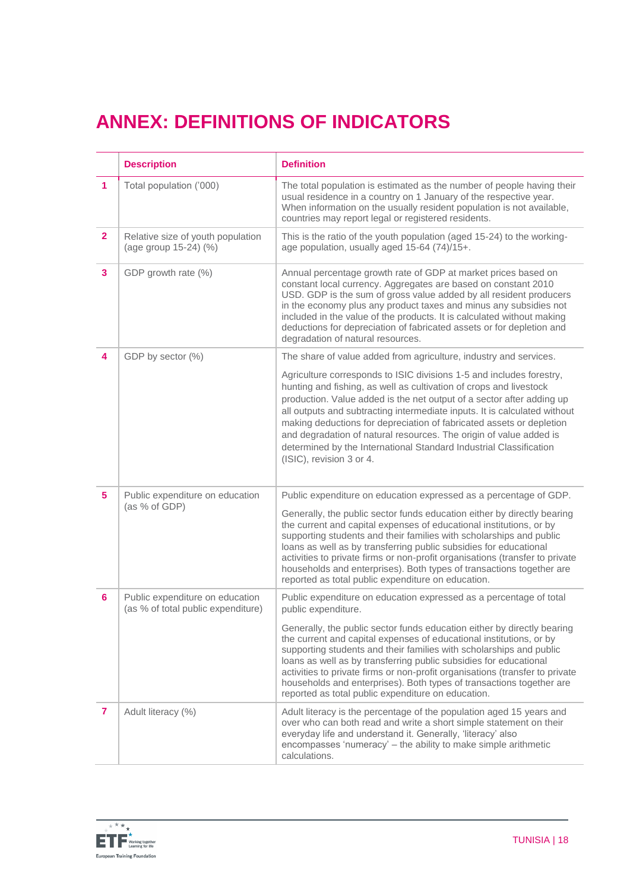# **ANNEX: DEFINITIONS OF INDICATORS**

|                | <b>Description</b>                                                    | <b>Definition</b>                                                                                                                                                                                                                                                                                                                                                                                                                                                                                                                                |
|----------------|-----------------------------------------------------------------------|--------------------------------------------------------------------------------------------------------------------------------------------------------------------------------------------------------------------------------------------------------------------------------------------------------------------------------------------------------------------------------------------------------------------------------------------------------------------------------------------------------------------------------------------------|
| 1              | Total population ('000)                                               | The total population is estimated as the number of people having their<br>usual residence in a country on 1 January of the respective year.<br>When information on the usually resident population is not available,<br>countries may report legal or registered residents.                                                                                                                                                                                                                                                                      |
| $\overline{2}$ | Relative size of youth population<br>(age group 15-24) (%)            | This is the ratio of the youth population (aged 15-24) to the working-<br>age population, usually aged 15-64 (74)/15+.                                                                                                                                                                                                                                                                                                                                                                                                                           |
| 3              | GDP growth rate (%)                                                   | Annual percentage growth rate of GDP at market prices based on<br>constant local currency. Aggregates are based on constant 2010<br>USD. GDP is the sum of gross value added by all resident producers<br>in the economy plus any product taxes and minus any subsidies not<br>included in the value of the products. It is calculated without making<br>deductions for depreciation of fabricated assets or for depletion and<br>degradation of natural resources.                                                                              |
| 4              | GDP by sector (%)                                                     | The share of value added from agriculture, industry and services.                                                                                                                                                                                                                                                                                                                                                                                                                                                                                |
|                |                                                                       | Agriculture corresponds to ISIC divisions 1-5 and includes forestry,<br>hunting and fishing, as well as cultivation of crops and livestock<br>production. Value added is the net output of a sector after adding up<br>all outputs and subtracting intermediate inputs. It is calculated without<br>making deductions for depreciation of fabricated assets or depletion<br>and degradation of natural resources. The origin of value added is<br>determined by the International Standard Industrial Classification<br>(ISIC), revision 3 or 4. |
| 5              | Public expenditure on education<br>(as % of GDP)                      | Public expenditure on education expressed as a percentage of GDP.                                                                                                                                                                                                                                                                                                                                                                                                                                                                                |
|                |                                                                       | Generally, the public sector funds education either by directly bearing<br>the current and capital expenses of educational institutions, or by<br>supporting students and their families with scholarships and public<br>loans as well as by transferring public subsidies for educational<br>activities to private firms or non-profit organisations (transfer to private<br>households and enterprises). Both types of transactions together are<br>reported as total public expenditure on education.                                         |
| 6              | Public expenditure on education<br>(as % of total public expenditure) | Public expenditure on education expressed as a percentage of total<br>public expenditure.                                                                                                                                                                                                                                                                                                                                                                                                                                                        |
|                |                                                                       | Generally, the public sector funds education either by directly bearing<br>the current and capital expenses of educational institutions, or by<br>supporting students and their families with scholarships and public<br>loans as well as by transferring public subsidies for educational<br>activities to private firms or non-profit organisations (transfer to private<br>households and enterprises). Both types of transactions together are<br>reported as total public expenditure on education.                                         |
| 7              | Adult literacy (%)                                                    | Adult literacy is the percentage of the population aged 15 years and<br>over who can both read and write a short simple statement on their<br>everyday life and understand it. Generally, 'literacy' also<br>encompasses 'numeracy' - the ability to make simple arithmetic<br>calculations.                                                                                                                                                                                                                                                     |

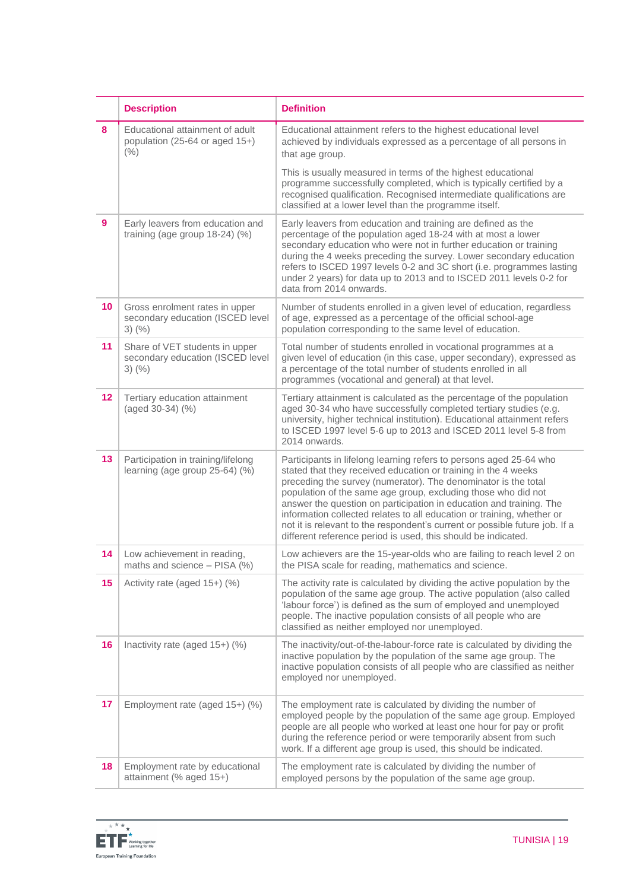|         | <b>Description</b>                                                                 | <b>Definition</b>                                                                                                                                                                                                                                                                                                                                                                                                                                                                                                                                                        |
|---------|------------------------------------------------------------------------------------|--------------------------------------------------------------------------------------------------------------------------------------------------------------------------------------------------------------------------------------------------------------------------------------------------------------------------------------------------------------------------------------------------------------------------------------------------------------------------------------------------------------------------------------------------------------------------|
| 8       | Educational attainment of adult<br>population (25-64 or aged 15+)<br>(% )          | Educational attainment refers to the highest educational level<br>achieved by individuals expressed as a percentage of all persons in<br>that age group.                                                                                                                                                                                                                                                                                                                                                                                                                 |
|         |                                                                                    | This is usually measured in terms of the highest educational<br>programme successfully completed, which is typically certified by a<br>recognised qualification. Recognised intermediate qualifications are<br>classified at a lower level than the programme itself.                                                                                                                                                                                                                                                                                                    |
| 9       | Early leavers from education and<br>training (age group 18-24) (%)                 | Early leavers from education and training are defined as the<br>percentage of the population aged 18-24 with at most a lower<br>secondary education who were not in further education or training<br>during the 4 weeks preceding the survey. Lower secondary education<br>refers to ISCED 1997 levels 0-2 and 3C short (i.e. programmes lasting<br>under 2 years) for data up to 2013 and to ISCED 2011 levels 0-2 for<br>data from 2014 onwards.                                                                                                                       |
| 10      | Gross enrolment rates in upper<br>secondary education (ISCED level<br>$3)$ (%)     | Number of students enrolled in a given level of education, regardless<br>of age, expressed as a percentage of the official school-age<br>population corresponding to the same level of education.                                                                                                                                                                                                                                                                                                                                                                        |
| 11      | Share of VET students in upper<br>secondary education (ISCED level<br>$3)$ $(\% )$ | Total number of students enrolled in vocational programmes at a<br>given level of education (in this case, upper secondary), expressed as<br>a percentage of the total number of students enrolled in all<br>programmes (vocational and general) at that level.                                                                                                                                                                                                                                                                                                          |
| $12 \,$ | Tertiary education attainment<br>(aged 30-34) (%)                                  | Tertiary attainment is calculated as the percentage of the population<br>aged 30-34 who have successfully completed tertiary studies (e.g.<br>university, higher technical institution). Educational attainment refers<br>to ISCED 1997 level 5-6 up to 2013 and ISCED 2011 level 5-8 from<br>2014 onwards.                                                                                                                                                                                                                                                              |
| 13      | Participation in training/lifelong<br>learning (age group 25-64) (%)               | Participants in lifelong learning refers to persons aged 25-64 who<br>stated that they received education or training in the 4 weeks<br>preceding the survey (numerator). The denominator is the total<br>population of the same age group, excluding those who did not<br>answer the question on participation in education and training. The<br>information collected relates to all education or training, whether or<br>not it is relevant to the respondent's current or possible future job. If a<br>different reference period is used, this should be indicated. |
| 14      | Low achievement in reading,<br>maths and science - PISA (%)                        | Low achievers are the 15-year-olds who are failing to reach level 2 on<br>the PISA scale for reading, mathematics and science.                                                                                                                                                                                                                                                                                                                                                                                                                                           |
| 15      | Activity rate (aged 15+) (%)                                                       | The activity rate is calculated by dividing the active population by the<br>population of the same age group. The active population (also called<br>'labour force') is defined as the sum of employed and unemployed<br>people. The inactive population consists of all people who are<br>classified as neither employed nor unemployed.                                                                                                                                                                                                                                 |
| 16      | Inactivity rate (aged 15+) (%)                                                     | The inactivity/out-of-the-labour-force rate is calculated by dividing the<br>inactive population by the population of the same age group. The<br>inactive population consists of all people who are classified as neither<br>employed nor unemployed.                                                                                                                                                                                                                                                                                                                    |
| 17      | Employment rate (aged 15+) (%)                                                     | The employment rate is calculated by dividing the number of<br>employed people by the population of the same age group. Employed<br>people are all people who worked at least one hour for pay or profit<br>during the reference period or were temporarily absent from such<br>work. If a different age group is used, this should be indicated.                                                                                                                                                                                                                        |
| 18      | Employment rate by educational<br>attainment (% aged 15+)                          | The employment rate is calculated by dividing the number of<br>employed persons by the population of the same age group.                                                                                                                                                                                                                                                                                                                                                                                                                                                 |

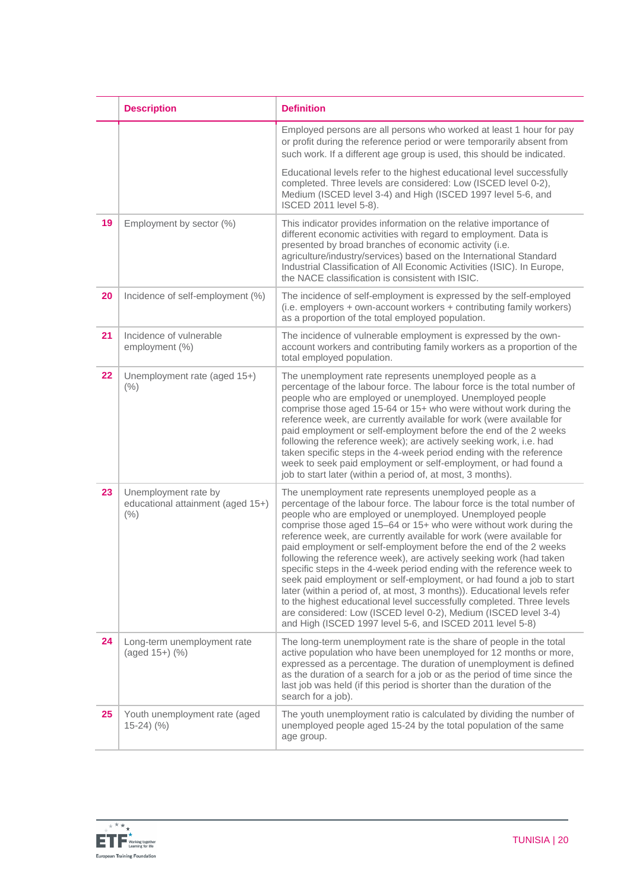|    | <b>Description</b>                                                | <b>Definition</b>                                                                                                                                                                                                                                                                                                                                                                                                                                                                                                                                                                                                                                                                                                                                                                                                                                                                                                            |
|----|-------------------------------------------------------------------|------------------------------------------------------------------------------------------------------------------------------------------------------------------------------------------------------------------------------------------------------------------------------------------------------------------------------------------------------------------------------------------------------------------------------------------------------------------------------------------------------------------------------------------------------------------------------------------------------------------------------------------------------------------------------------------------------------------------------------------------------------------------------------------------------------------------------------------------------------------------------------------------------------------------------|
|    |                                                                   | Employed persons are all persons who worked at least 1 hour for pay<br>or profit during the reference period or were temporarily absent from<br>such work. If a different age group is used, this should be indicated.                                                                                                                                                                                                                                                                                                                                                                                                                                                                                                                                                                                                                                                                                                       |
|    |                                                                   | Educational levels refer to the highest educational level successfully<br>completed. Three levels are considered: Low (ISCED level 0-2),<br>Medium (ISCED level 3-4) and High (ISCED 1997 level 5-6, and<br>ISCED 2011 level 5-8).                                                                                                                                                                                                                                                                                                                                                                                                                                                                                                                                                                                                                                                                                           |
| 19 | Employment by sector (%)                                          | This indicator provides information on the relative importance of<br>different economic activities with regard to employment. Data is<br>presented by broad branches of economic activity (i.e.<br>agriculture/industry/services) based on the International Standard<br>Industrial Classification of All Economic Activities (ISIC). In Europe,<br>the NACE classification is consistent with ISIC.                                                                                                                                                                                                                                                                                                                                                                                                                                                                                                                         |
| 20 | Incidence of self-employment (%)                                  | The incidence of self-employment is expressed by the self-employed<br>(i.e. employers + own-account workers + contributing family workers)<br>as a proportion of the total employed population.                                                                                                                                                                                                                                                                                                                                                                                                                                                                                                                                                                                                                                                                                                                              |
| 21 | Incidence of vulnerable<br>employment (%)                         | The incidence of vulnerable employment is expressed by the own-<br>account workers and contributing family workers as a proportion of the<br>total employed population.                                                                                                                                                                                                                                                                                                                                                                                                                                                                                                                                                                                                                                                                                                                                                      |
| 22 | Unemployment rate (aged 15+)<br>(% )                              | The unemployment rate represents unemployed people as a<br>percentage of the labour force. The labour force is the total number of<br>people who are employed or unemployed. Unemployed people<br>comprise those aged 15-64 or 15+ who were without work during the<br>reference week, are currently available for work (were available for<br>paid employment or self-employment before the end of the 2 weeks<br>following the reference week); are actively seeking work, i.e. had<br>taken specific steps in the 4-week period ending with the reference<br>week to seek paid employment or self-employment, or had found a<br>job to start later (within a period of, at most, 3 months).                                                                                                                                                                                                                               |
| 23 | Unemployment rate by<br>educational attainment (aged 15+)<br>(% ) | The unemployment rate represents unemployed people as a<br>percentage of the labour force. The labour force is the total number of<br>people who are employed or unemployed. Unemployed people<br>comprise those aged 15-64 or 15+ who were without work during the<br>reference week, are currently available for work (were available for<br>paid employment or self-employment before the end of the 2 weeks<br>following the reference week), are actively seeking work (had taken<br>specific steps in the 4-week period ending with the reference week to<br>seek paid employment or self-employment, or had found a job to start<br>later (within a period of, at most, 3 months)). Educational levels refer<br>to the highest educational level successfully completed. Three levels<br>are considered: Low (ISCED level 0-2), Medium (ISCED level 3-4)<br>and High (ISCED 1997 level 5-6, and ISCED 2011 level 5-8) |
| 24 | Long-term unemployment rate<br>(aged 15+) (%)                     | The long-term unemployment rate is the share of people in the total<br>active population who have been unemployed for 12 months or more,<br>expressed as a percentage. The duration of unemployment is defined<br>as the duration of a search for a job or as the period of time since the<br>last job was held (if this period is shorter than the duration of the<br>search for a job).                                                                                                                                                                                                                                                                                                                                                                                                                                                                                                                                    |
| 25 | Youth unemployment rate (aged<br>$15-24)$ (%)                     | The youth unemployment ratio is calculated by dividing the number of<br>unemployed people aged 15-24 by the total population of the same<br>age group.                                                                                                                                                                                                                                                                                                                                                                                                                                                                                                                                                                                                                                                                                                                                                                       |

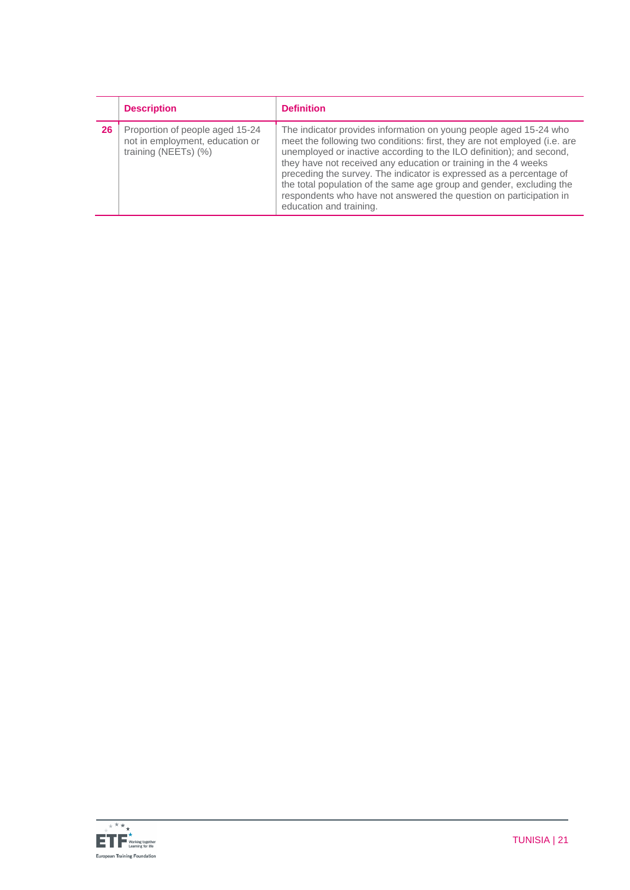|    | <b>Description</b>                                                                         | <b>Definition</b>                                                                                                                                                                                                                                                                                                                                                                                                                                                                                                                         |
|----|--------------------------------------------------------------------------------------------|-------------------------------------------------------------------------------------------------------------------------------------------------------------------------------------------------------------------------------------------------------------------------------------------------------------------------------------------------------------------------------------------------------------------------------------------------------------------------------------------------------------------------------------------|
| 26 | Proportion of people aged 15-24<br>not in employment, education or<br>training (NEETs) (%) | The indicator provides information on young people aged 15-24 who<br>meet the following two conditions: first, they are not employed (i.e. are<br>unemployed or inactive according to the ILO definition); and second,<br>they have not received any education or training in the 4 weeks<br>preceding the survey. The indicator is expressed as a percentage of<br>the total population of the same age group and gender, excluding the<br>respondents who have not answered the question on participation in<br>education and training. |

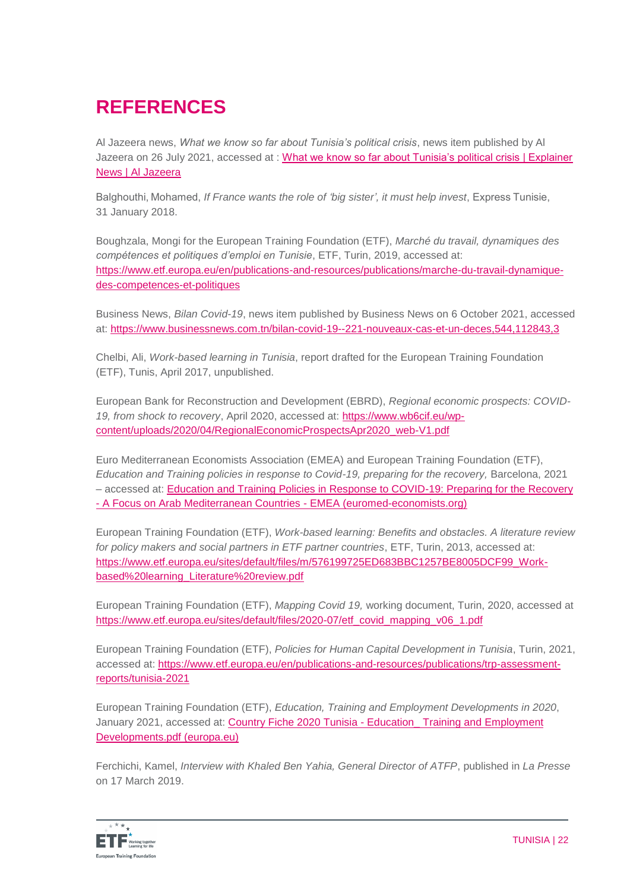# **REFERENCES**

Al Jazeera news, *What we know so far about Tunisia's political crisis*, news item published by Al Jazeera on 26 July 2021, accessed at : [What we know so far about Tunisia's political crisis | Explainer](https://www.aljazeera.com/news/2021/7/26/tunisias-political-crisis-all-you-need-to-know-in-500-words)  [News | Al Jazeera](https://www.aljazeera.com/news/2021/7/26/tunisias-political-crisis-all-you-need-to-know-in-500-words)

Balghouthi, Mohamed, *If France wants the role of 'big sister', it must help invest*, Express Tunisie, 31 January 2018.

Boughzala, Mongi for the European Training Foundation (ETF), *Marché du travail, dynamiques des compétences et politiques d'emploi en Tunisie*, ETF, Turin, 2019, accessed at: [https://www.etf.europa.eu/en/publications-and-resources/publications/marche-du-travail-dynamique](https://www.etf.europa.eu/en/publications-and-resources/publications/marche-du-travail-dynamique-des-competences-et-politiques)[des-competences-et-politiques](https://www.etf.europa.eu/en/publications-and-resources/publications/marche-du-travail-dynamique-des-competences-et-politiques)

Business News, *Bilan Covid-19*, news item published by Business News on 6 October 2021, accessed at: <https://www.businessnews.com.tn/bilan-covid-19--221-nouveaux-cas-et-un-deces,544,112843,3>

Chelbi, Ali, *Work-based learning in Tunisia*, report drafted for the European Training Foundation (ETF), Tunis, April 2017, unpublished.

European Bank for Reconstruction and Development (EBRD), *Regional economic prospects: COVID-19, from shock to recovery*, April 2020, accessed at: [https://www.wb6cif.eu/wp](https://www.wb6cif.eu/wp-content/uploads/2020/04/RegionalEconomicProspectsApr2020_web-V1.pdf)[content/uploads/2020/04/RegionalEconomicProspectsApr2020\\_web-V1.pdf](https://www.wb6cif.eu/wp-content/uploads/2020/04/RegionalEconomicProspectsApr2020_web-V1.pdf)

Euro Mediterranean Economists Association (EMEA) and European Training Foundation (ETF), *Education and Training policies in response to Covid-19, preparing for the recovery, Barcelona, 2021* – accessed at: [Education and Training Policies in Response to COVID-19: Preparing for the Recovery](https://euromed-economists.org/download/education-and-training-policies-in-response-to-covid-19-preparing-for-the-recovery-a-focus-on-arab-mediterranean-countries/)  - [A Focus on Arab Mediterranean Countries -](https://euromed-economists.org/download/education-and-training-policies-in-response-to-covid-19-preparing-for-the-recovery-a-focus-on-arab-mediterranean-countries/) EMEA (euromed-economists.org)

European Training Foundation (ETF), *Work-based learning: Benefits and obstacles. A literature review for policy makers and social partners in ETF partner countries*, ETF, Turin, 2013, accessed at: [https://www.etf.europa.eu/sites/default/files/m/576199725ED683BBC1257BE8005DCF99\\_Work](https://www.etf.europa.eu/sites/default/files/m/576199725ED683BBC1257BE8005DCF99_Work-based%20learning_Literature%20review.pdf)[based%20learning\\_Literature%20review.pdf](https://www.etf.europa.eu/sites/default/files/m/576199725ED683BBC1257BE8005DCF99_Work-based%20learning_Literature%20review.pdf)

European Training Foundation (ETF), *Mapping Covid 19,* working document, Turin, 2020, accessed at [https://www.etf.europa.eu/sites/default/files/2020-07/etf\\_covid\\_mapping\\_v06\\_1.pdf](https://www.etf.europa.eu/sites/default/files/2020-07/etf_covid_mapping_v06_1.pdf)

European Training Foundation (ETF), *Policies for Human Capital Development in Tunisia*, Turin, 2021, accessed at: [https://www.etf.europa.eu/en/publications-and-resources/publications/trp-assessment](https://www.etf.europa.eu/en/publications-and-resources/publications/trp-assessment-reports/tunisia-2021)[reports/tunisia-2021](https://www.etf.europa.eu/en/publications-and-resources/publications/trp-assessment-reports/tunisia-2021)

European Training Foundation (ETF), *Education, Training and Employment Developments in 2020*, January 2021, accessed at: Country Fiche 2020 Tunisia - [Education\\_ Training and Employment](https://www.etf.europa.eu/sites/default/files/document/Country%20Fiche%202020%20Tunisia%20-%20Education_%20Training%20and%20Employment%20Developments.pdf)  [Developments.pdf \(europa.eu\)](https://www.etf.europa.eu/sites/default/files/document/Country%20Fiche%202020%20Tunisia%20-%20Education_%20Training%20and%20Employment%20Developments.pdf)

Ferchichi, Kamel, *Interview with Khaled Ben Yahia, General Director of ATFP*, published in *La Presse* on 17 March 2019.

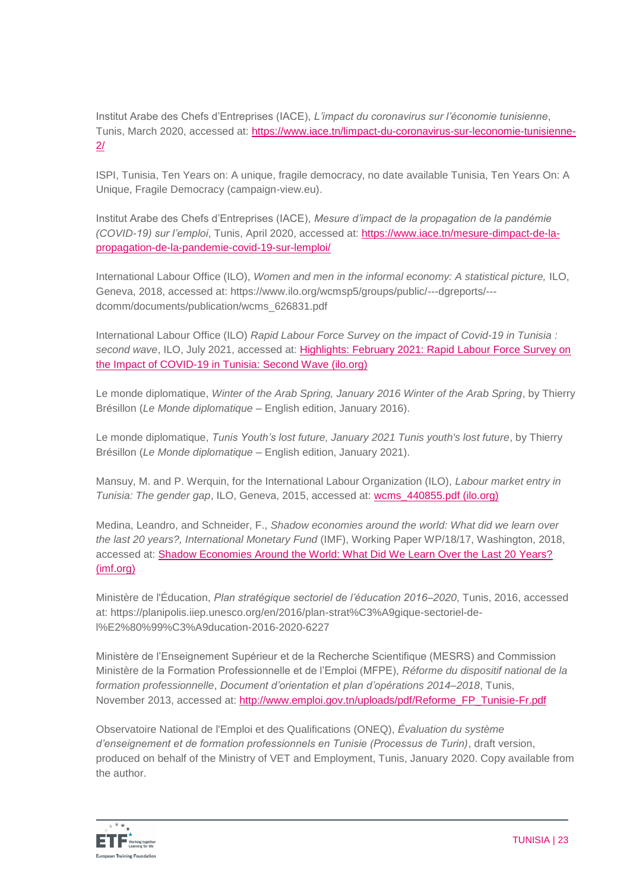Institut Arabe des Chefs d'Entreprises (IACE), *L'impact du coronavirus sur l'économie tunisienne*, Tunis, March 2020, accessed at: [https://www.iace.tn/limpact-du-coronavirus-sur-leconomie-tunisienne-](https://www.iace.tn/limpact-du-coronavirus-sur-leconomie-tunisienne-2/)[2/](https://www.iace.tn/limpact-du-coronavirus-sur-leconomie-tunisienne-2/)

ISPI, Tunisia, Ten Years on: A unique, fragile democracy, no date available Tunisia, Ten Years On: A Unique, Fragile Democracy (campaign-view.eu).

Institut Arabe des Chefs d'Entreprises (IACE), *Mesure d'impact de la propagation de la pandémie (COVID-19) sur l'emploi*, Tunis, April 2020, accessed at: [https://www.iace.tn/mesure-dimpact-de-la](https://www.iace.tn/mesure-dimpact-de-la-propagation-de-la-pandemie-covid-19-sur-lemploi/)[propagation-de-la-pandemie-covid-19-sur-lemploi/](https://www.iace.tn/mesure-dimpact-de-la-propagation-de-la-pandemie-covid-19-sur-lemploi/)

International Labour Office (ILO), *Women and men in the informal economy: A statistical picture*, ILO, Geneva, 2018, accessed at: https://www.ilo.org/wcmsp5/groups/public/---dgreports/-- dcomm/documents/publication/wcms\_626831.pdf

International Labour Office (ILO) *Rapid Labour Force Survey on the impact of Covid-19 in Tunisia : second wave*, ILO, July 2021, accessed at: [Highlights: February 2021: Rapid Labour Force Survey on](https://www.ilo.org/africa/information-resources/publications/WCMS_809428/lang--en/index.htm)  [the Impact of COVID-19 in Tunisia: Second Wave \(ilo.org\)](https://www.ilo.org/africa/information-resources/publications/WCMS_809428/lang--en/index.htm)

Le monde diplomatique, *Winter of the Arab Spring, January 2016 Winter of the Arab Spring*, by Thierry Brésillon (*Le Monde diplomatique* – English edition, January 2016).

Le monde diplomatique, *Tunis Youth's lost future, January 2021 Tunis youth's lost future*, by Thierry Brésillon (*Le Monde diplomatique* – English edition, January 2021).

Mansuy, M. and P. Werquin, for the International Labour Organization (ILO), *Labour market entry in Tunisia: The gender gap*, ILO, Geneva, 2015, accessed at: [wcms\\_440855.pdf \(ilo.org\)](https://www.ilo.org/wcmsp5/groups/public/---ed_emp/documents/publication/wcms_440855.pdf)

Medina, Leandro, and Schneider, F., *Shadow economies around the world: What did we learn over the last 20 years?, International Monetary Fund* (IMF), Working Paper WP/18/17, Washington, 2018, accessed at: [Shadow Economies Around the World: What Did We Learn Over the Last 20 Years?](https://www.imf.org/en/Publications/WP/Issues/2018/01/25/Shadow-Economies-Around-the-World-What-Did-We-Learn-Over-the-Last-20-Years-45583)  [\(imf.org\)](https://www.imf.org/en/Publications/WP/Issues/2018/01/25/Shadow-Economies-Around-the-World-What-Did-We-Learn-Over-the-Last-20-Years-45583)

Ministère de l'Éducation, *Plan stratégique sectoriel de l'éducation 2016–2020*, Tunis, 2016, accessed at: https://planipolis.iiep.unesco.org/en/2016/plan-strat%C3%A9gique-sectoriel-del%E2%80%99%C3%A9ducation-2016-2020-6227

Ministère de l'Enseignement Supérieur et de la Recherche Scientifique (MESRS) and Commission Ministère de la Formation Professionnelle et de l'Emploi (MFPE), *Réforme du dispositif national de la formation professionnelle*, *Document d'orientation et plan d'opérations 2014–2018*, Tunis, November 2013, accessed at: [http://www.emploi.gov.tn/uploads/pdf/Reforme\\_FP\\_Tunisie-Fr.pdf](http://www.emploi.gov.tn/uploads/pdf/Reforme_FP_Tunisie-Fr.pdf)

Observatoire National de l'Emploi et des Qualifications (ONEQ), *Évaluation du système d'enseignement et de formation professionnels en Tunisie (Processus de Turin)*, draft version, produced on behalf of the Ministry of VET and Employment, Tunis, January 2020. Copy available from the author.

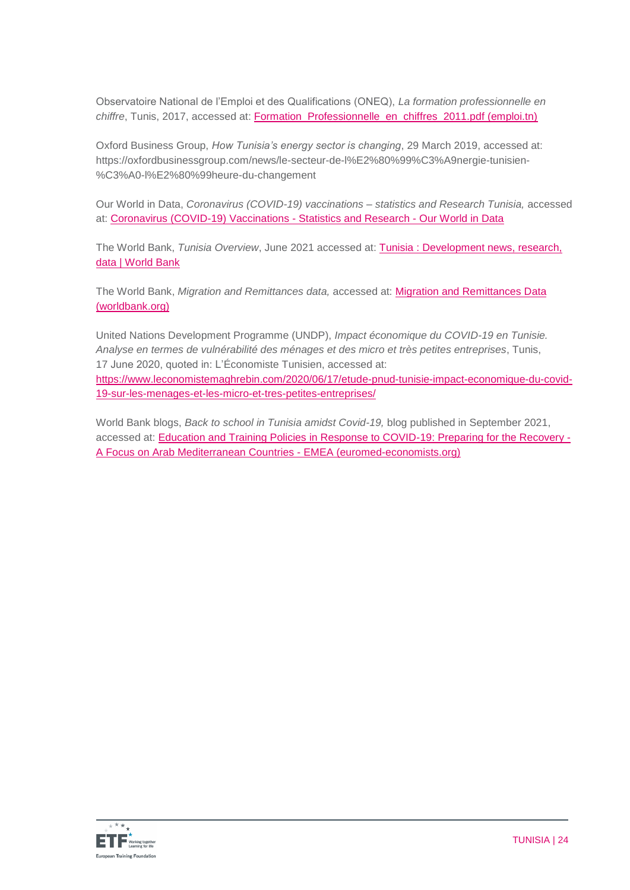Observatoire National de l'Emploi et des Qualifications (ONEQ), *La formation professionnelle en chiffre*, Tunis, 2017, accessed at: [Formation\\_Professionnelle\\_en\\_chiffres\\_2011.pdf \(emploi.tn\)](http://www.emploi.tn/uploads/pdf/ONEQ/Formation_Professionnelle_en_chiffres_2011.pdf)

Oxford Business Group, *How Tunisia's energy sector is changing*, 29 March 2019, accessed at: https://oxfordbusinessgroup.com/news/le-secteur-de-l%E2%80%99%C3%A9nergie-tunisien- %C3%A0-l%E2%80%99heure-du-changement

Our World in Data, *Coronavirus (COVID-19) vaccinations – statistics and Research Tunisia,* accessed at: [Coronavirus \(COVID-19\) Vaccinations -](https://ourworldindata.org/covid-vaccinations?country=OWID_WRL) Statistics and Research - Our World in Data

The World Bank, *Tunisia Overview*, June 2021 accessed at: [Tunisia : Development news, research,](https://www.worldbank.org/en/country/tunisia)  [data | World Bank](https://www.worldbank.org/en/country/tunisia)

The World Bank, *Migration and Remittances data,* accessed at: [Migration and Remittances Data](https://www.worldbank.org/en/topic/migrationremittancesdiasporaissues/brief/migration-remittances-data)  [\(worldbank.org\)](https://www.worldbank.org/en/topic/migrationremittancesdiasporaissues/brief/migration-remittances-data)

United Nations Development Programme (UNDP), *Impact économique du COVID-19 en Tunisie. Analyse en termes de vulnérabilité des ménages et des micro et très petites entreprises*, Tunis, 17 June 2020, quoted in: L'Économiste Tunisien, accessed at: [https://www.leconomistemaghrebin.com/2020/06/17/etude-pnud-tunisie-impact-economique-du-covid-](https://www.leconomistemaghrebin.com/2020/06/17/etude-pnud-tunisie-impact-economique-du-covid-19-sur-les-menages-et-les-micro-et-tres-petites-entreprises/)[19-sur-les-menages-et-les-micro-et-tres-petites-entreprises/](https://www.leconomistemaghrebin.com/2020/06/17/etude-pnud-tunisie-impact-economique-du-covid-19-sur-les-menages-et-les-micro-et-tres-petites-entreprises/)

World Bank blogs, *Back to school in Tunisia amidst Covid-19,* blog published in September 2021, accessed at: [Education and Training Policies in Response to COVID-19: Preparing for the Recovery -](https://euromed-economists.org/download/education-and-training-policies-in-response-to-covid-19-preparing-for-the-recovery-a-focus-on-arab-mediterranean-countries/) [A Focus on Arab Mediterranean Countries -](https://euromed-economists.org/download/education-and-training-policies-in-response-to-covid-19-preparing-for-the-recovery-a-focus-on-arab-mediterranean-countries/) EMEA (euromed-economists.org)

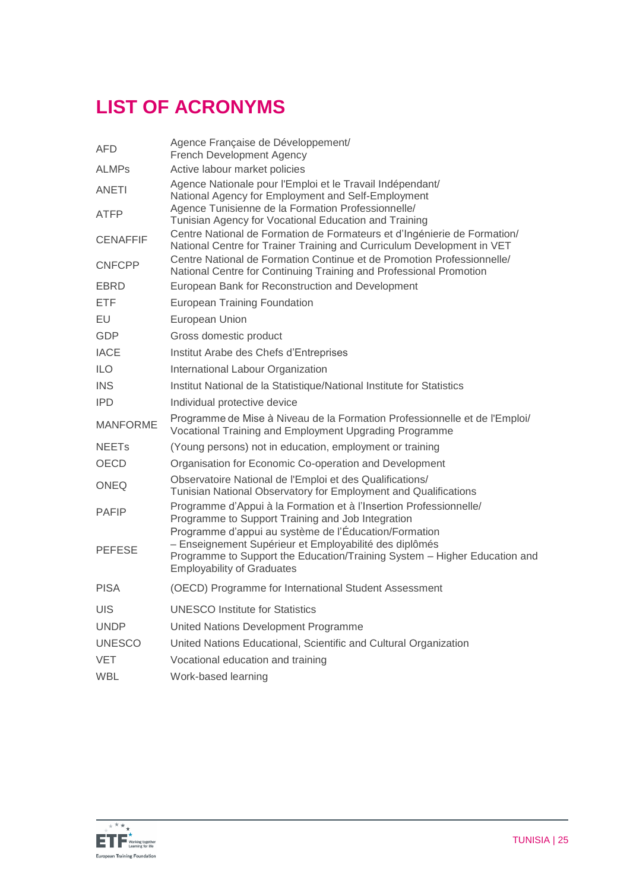# **LIST OF ACRONYMS**

| AFD                     | Agence Française de Développement/<br><b>French Development Agency</b>                                                                                                                                                            |
|-------------------------|-----------------------------------------------------------------------------------------------------------------------------------------------------------------------------------------------------------------------------------|
| ALMPs                   | Active labour market policies                                                                                                                                                                                                     |
| ANETI                   | Agence Nationale pour l'Emploi et le Travail Indépendant/<br>National Agency for Employment and Self-Employment                                                                                                                   |
| ATFP                    | Agence Tunisienne de la Formation Professionnelle/<br>Tunisian Agency for Vocational Education and Training                                                                                                                       |
| <b>CENAFFIF</b>         | Centre National de Formation de Formateurs et d'Ingénierie de Formation/<br>National Centre for Trainer Training and Curriculum Development in VET                                                                                |
| <b>CNFCPP</b>           | Centre National de Formation Continue et de Promotion Professionnelle/<br>National Centre for Continuing Training and Professional Promotion                                                                                      |
| EBRD                    | European Bank for Reconstruction and Development                                                                                                                                                                                  |
| ETF                     | <b>European Training Foundation</b>                                                                                                                                                                                               |
| EU                      | European Union                                                                                                                                                                                                                    |
| GDP                     | Gross domestic product                                                                                                                                                                                                            |
| <b>IACE</b>             | Institut Arabe des Chefs d'Entreprises                                                                                                                                                                                            |
| <b>ILO</b>              | International Labour Organization                                                                                                                                                                                                 |
| <b>INS</b>              | Institut National de la Statistique/National Institute for Statistics                                                                                                                                                             |
| <b>IPD</b>              | Individual protective device                                                                                                                                                                                                      |
| <b>MANFORME</b>         | Programme de Mise à Niveau de la Formation Professionnelle et de l'Emploi/<br>Vocational Training and Employment Upgrading Programme                                                                                              |
| <b>NEET<sub>s</sub></b> | (Young persons) not in education, employment or training                                                                                                                                                                          |
| <b>OECD</b>             | Organisation for Economic Co-operation and Development                                                                                                                                                                            |
| ONEQ                    | Observatoire National de l'Emploi et des Qualifications/<br>Tunisian National Observatory for Employment and Qualifications                                                                                                       |
| PAFIP                   | Programme d'Appui à la Formation et à l'Insertion Professionnelle/<br>Programme to Support Training and Job Integration                                                                                                           |
| <b>PEFESE</b>           | Programme d'appui au système de l'Éducation/Formation<br>- Enseignement Supérieur et Employabilité des diplômés<br>Programme to Support the Education/Training System - Higher Education and<br><b>Employability of Graduates</b> |
| <b>PISA</b>             | (OECD) Programme for International Student Assessment                                                                                                                                                                             |
| UIS                     | <b>UNESCO Institute for Statistics</b>                                                                                                                                                                                            |
| <b>UNDP</b>             | United Nations Development Programme                                                                                                                                                                                              |
| <b>UNESCO</b>           | United Nations Educational, Scientific and Cultural Organization                                                                                                                                                                  |
| VET                     | Vocational education and training                                                                                                                                                                                                 |
| WBL                     | Work-based learning                                                                                                                                                                                                               |